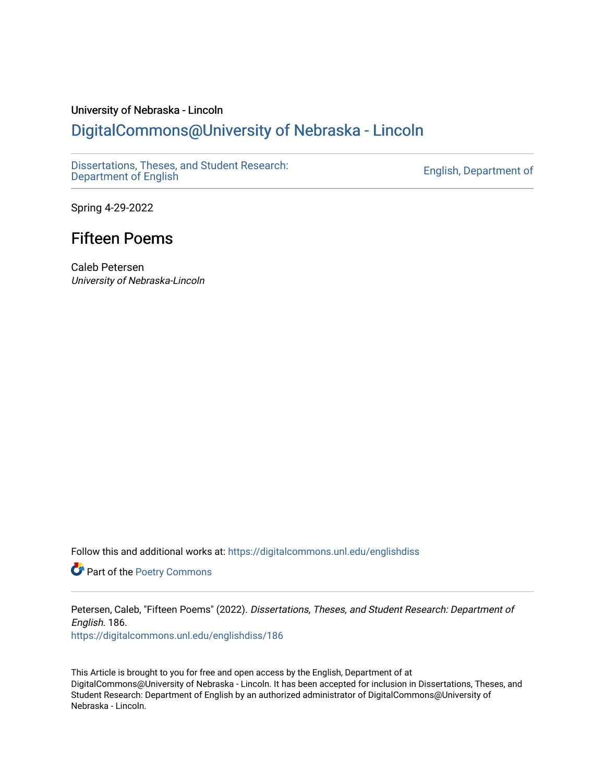# University of Nebraska - Lincoln [DigitalCommons@University of Nebraska - Lincoln](https://digitalcommons.unl.edu/)

[Dissertations, Theses, and Student Research:](https://digitalcommons.unl.edu/englishdiss) Dissertations, Theses, and Student Research.<br>[Department of English](https://digitalcommons.unl.edu/englishdiss) English

Spring 4-29-2022

# Fifteen Poems

Caleb Petersen University of Nebraska-Lincoln

Follow this and additional works at: [https://digitalcommons.unl.edu/englishdiss](https://digitalcommons.unl.edu/englishdiss?utm_source=digitalcommons.unl.edu%2Fenglishdiss%2F186&utm_medium=PDF&utm_campaign=PDFCoverPages) 

Part of the [Poetry Commons](http://network.bepress.com/hgg/discipline/1153?utm_source=digitalcommons.unl.edu%2Fenglishdiss%2F186&utm_medium=PDF&utm_campaign=PDFCoverPages) 

Petersen, Caleb, "Fifteen Poems" (2022). Dissertations, Theses, and Student Research: Department of English. 186.

[https://digitalcommons.unl.edu/englishdiss/186](https://digitalcommons.unl.edu/englishdiss/186?utm_source=digitalcommons.unl.edu%2Fenglishdiss%2F186&utm_medium=PDF&utm_campaign=PDFCoverPages) 

This Article is brought to you for free and open access by the English, Department of at DigitalCommons@University of Nebraska - Lincoln. It has been accepted for inclusion in Dissertations, Theses, and Student Research: Department of English by an authorized administrator of DigitalCommons@University of Nebraska - Lincoln.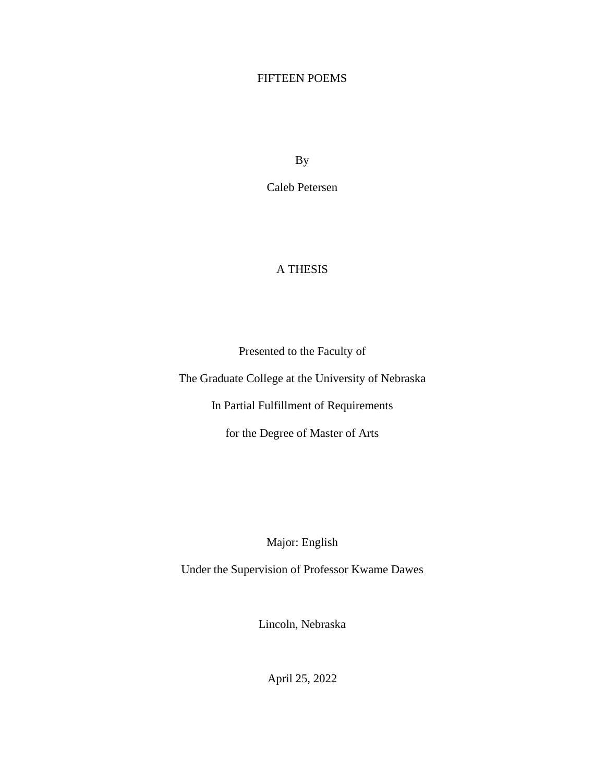## FIFTEEN POEMS

By

Caleb Petersen

## A THESIS

Presented to the Faculty of

The Graduate College at the University of Nebraska

In Partial Fulfillment of Requirements

for the Degree of Master of Arts

Major: English

Under the Supervision of Professor Kwame Dawes

Lincoln, Nebraska

April 25, 2022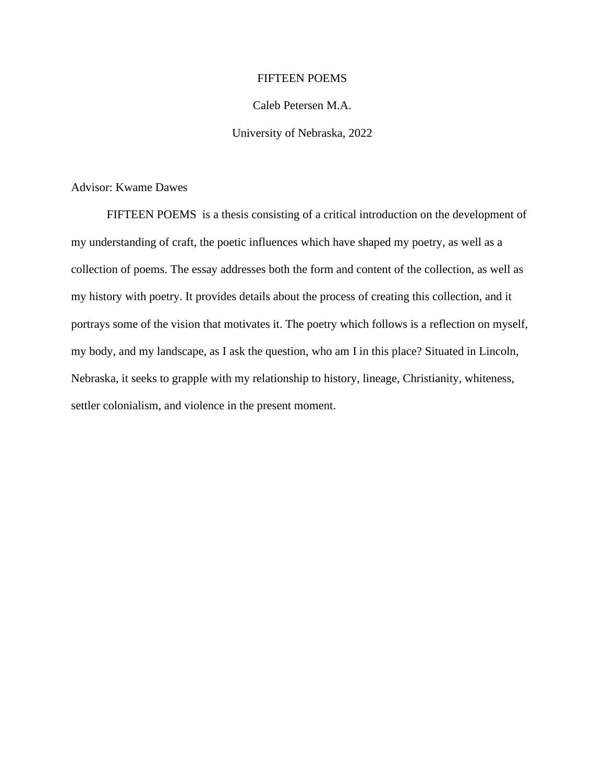### FIFTEEN POEMS

## Caleb Petersen M.A.

### University of Nebraska, 2022

Advisor: Kwame Dawes

FIFTEEN POEMS is a thesis consisting of a critical introduction on the development of my understanding of craft, the poetic influences which have shaped my poetry, as well as a collection of poems. The essay addresses both the form and content of the collection, as well as my history with poetry. It provides details about the process of creating this collection, and it portrays some of the vision that motivates it. The poetry which follows is a reflection on myself, my body, and my landscape, as I ask the question, who am I in this place? Situated in Lincoln, Nebraska, it seeks to grapple with my relationship to history, lineage, Christianity, whiteness, settler colonialism, and violence in the present moment.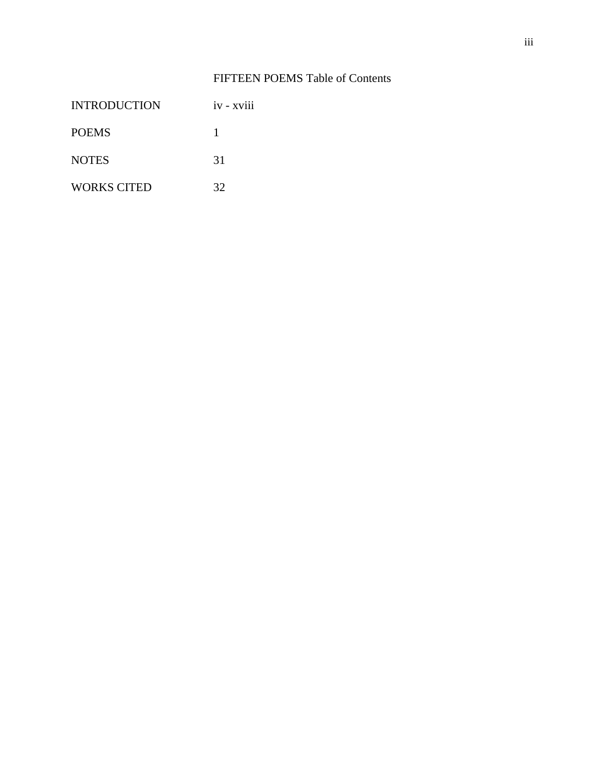## FIFTEEN POEMS Table of Contents

| <b>INTRODUCTION</b> | $1V - XV111$ |
|---------------------|--------------|
| <b>POEMS</b>        |              |
| <b>NOTES</b>        | 31           |
| <b>WORKS CITED</b>  | 32           |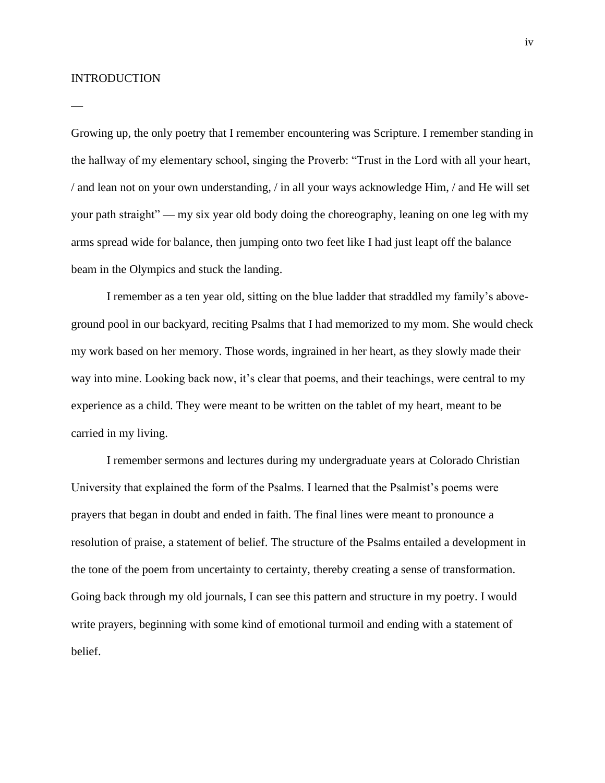#### INTRODUCTION

**—**

Growing up, the only poetry that I remember encountering was Scripture. I remember standing in the hallway of my elementary school, singing the Proverb: "Trust in the Lord with all your heart, / and lean not on your own understanding, / in all your ways acknowledge Him, / and He will set your path straight" — my six year old body doing the choreography, leaning on one leg with my arms spread wide for balance, then jumping onto two feet like I had just leapt off the balance beam in the Olympics and stuck the landing.

I remember as a ten year old, sitting on the blue ladder that straddled my family's aboveground pool in our backyard, reciting Psalms that I had memorized to my mom. She would check my work based on her memory. Those words, ingrained in her heart, as they slowly made their way into mine. Looking back now, it's clear that poems, and their teachings, were central to my experience as a child. They were meant to be written on the tablet of my heart, meant to be carried in my living.

I remember sermons and lectures during my undergraduate years at Colorado Christian University that explained the form of the Psalms. I learned that the Psalmist's poems were prayers that began in doubt and ended in faith. The final lines were meant to pronounce a resolution of praise, a statement of belief. The structure of the Psalms entailed a development in the tone of the poem from uncertainty to certainty, thereby creating a sense of transformation. Going back through my old journals, I can see this pattern and structure in my poetry. I would write prayers, beginning with some kind of emotional turmoil and ending with a statement of belief.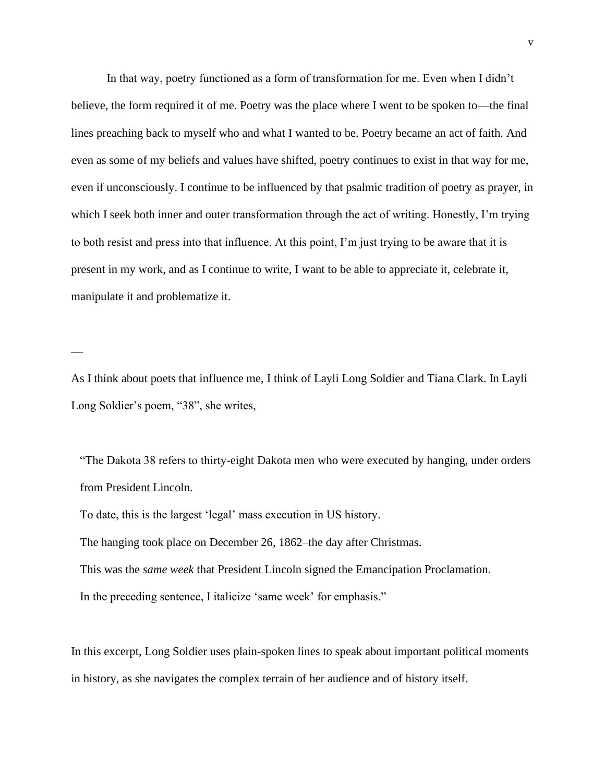In that way, poetry functioned as a form of transformation for me. Even when I didn't believe, the form required it of me. Poetry was the place where I went to be spoken to—the final lines preaching back to myself who and what I wanted to be. Poetry became an act of faith. And even as some of my beliefs and values have shifted, poetry continues to exist in that way for me, even if unconsciously. I continue to be influenced by that psalmic tradition of poetry as prayer, in which I seek both inner and outer transformation through the act of writing. Honestly, I'm trying to both resist and press into that influence. At this point, I'm just trying to be aware that it is present in my work, and as I continue to write, I want to be able to appreciate it, celebrate it, manipulate it and problematize it.

As I think about poets that influence me, I think of Layli Long Soldier and Tiana Clark. In Layli Long Soldier's poem, "38", she writes,

"The Dakota 38 refers to thirty-eight Dakota men who were executed by hanging, under orders from President Lincoln.

To date, this is the largest 'legal' mass execution in US history.

**—**

The hanging took place on December 26, 1862–the day after Christmas.

This was the *same week* that President Lincoln signed the Emancipation Proclamation.

In the preceding sentence, I italicize 'same week' for emphasis."

In this excerpt, Long Soldier uses plain-spoken lines to speak about important political moments in history, as she navigates the complex terrain of her audience and of history itself.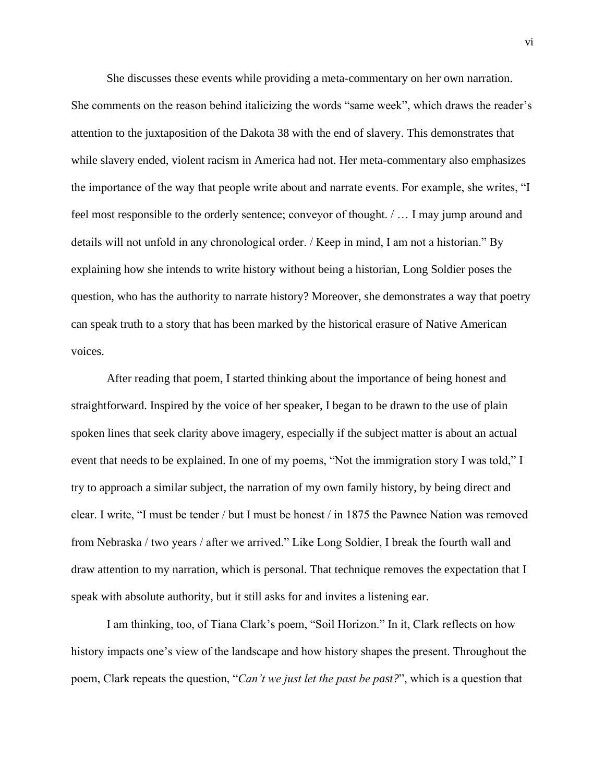She discusses these events while providing a meta-commentary on her own narration. She comments on the reason behind italicizing the words "same week", which draws the reader's attention to the juxtaposition of the Dakota 38 with the end of slavery. This demonstrates that while slavery ended, violent racism in America had not. Her meta-commentary also emphasizes the importance of the way that people write about and narrate events. For example, she writes, "I feel most responsible to the orderly sentence; conveyor of thought. / … I may jump around and details will not unfold in any chronological order. / Keep in mind, I am not a historian." By explaining how she intends to write history without being a historian, Long Soldier poses the question, who has the authority to narrate history? Moreover, she demonstrates a way that poetry can speak truth to a story that has been marked by the historical erasure of Native American voices.

After reading that poem, I started thinking about the importance of being honest and straightforward. Inspired by the voice of her speaker, I began to be drawn to the use of plain spoken lines that seek clarity above imagery, especially if the subject matter is about an actual event that needs to be explained. In one of my poems, "Not the immigration story I was told," I try to approach a similar subject, the narration of my own family history, by being direct and clear. I write, "I must be tender / but I must be honest / in 1875 the Pawnee Nation was removed from Nebraska / two years / after we arrived." Like Long Soldier, I break the fourth wall and draw attention to my narration, which is personal. That technique removes the expectation that I speak with absolute authority, but it still asks for and invites a listening ear.

I am thinking, too, of Tiana Clark's poem, "Soil Horizon." In it, Clark reflects on how history impacts one's view of the landscape and how history shapes the present. Throughout the poem, Clark repeats the question, "*Can't we just let the past be past?*", which is a question that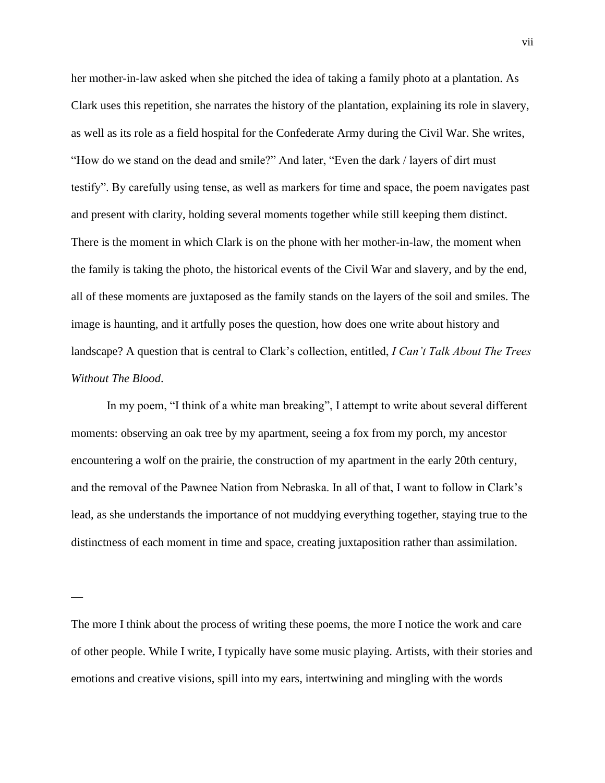her mother-in-law asked when she pitched the idea of taking a family photo at a plantation. As Clark uses this repetition, she narrates the history of the plantation, explaining its role in slavery, as well as its role as a field hospital for the Confederate Army during the Civil War. She writes, "How do we stand on the dead and smile?" And later, "Even the dark / layers of dirt must testify". By carefully using tense, as well as markers for time and space, the poem navigates past and present with clarity, holding several moments together while still keeping them distinct. There is the moment in which Clark is on the phone with her mother-in-law, the moment when the family is taking the photo, the historical events of the Civil War and slavery, and by the end, all of these moments are juxtaposed as the family stands on the layers of the soil and smiles. The image is haunting, and it artfully poses the question, how does one write about history and landscape? A question that is central to Clark's collection, entitled, *I Can't Talk About The Trees Without The Blood*.

In my poem, "I think of a white man breaking", I attempt to write about several different moments: observing an oak tree by my apartment, seeing a fox from my porch, my ancestor encountering a wolf on the prairie, the construction of my apartment in the early 20th century, and the removal of the Pawnee Nation from Nebraska. In all of that, I want to follow in Clark's lead, as she understands the importance of not muddying everything together, staying true to the distinctness of each moment in time and space, creating juxtaposition rather than assimilation.

**—**

The more I think about the process of writing these poems, the more I notice the work and care of other people. While I write, I typically have some music playing. Artists, with their stories and emotions and creative visions, spill into my ears, intertwining and mingling with the words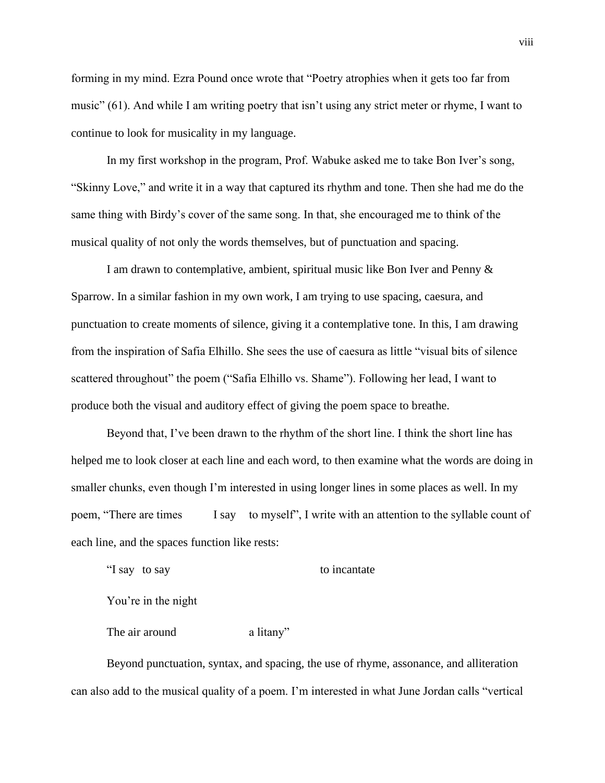forming in my mind. Ezra Pound once wrote that "Poetry atrophies when it gets too far from music" (61). And while I am writing poetry that isn't using any strict meter or rhyme, I want to continue to look for musicality in my language.

In my first workshop in the program, Prof. Wabuke asked me to take Bon Iver's song, "Skinny Love," and write it in a way that captured its rhythm and tone. Then she had me do the same thing with Birdy's cover of the same song. In that, she encouraged me to think of the musical quality of not only the words themselves, but of punctuation and spacing.

I am drawn to contemplative, ambient, spiritual music like Bon Iver and Penny & Sparrow. In a similar fashion in my own work, I am trying to use spacing, caesura, and punctuation to create moments of silence, giving it a contemplative tone. In this, I am drawing from the inspiration of Safia Elhillo. She sees the use of caesura as little "visual bits of silence scattered throughout" the poem ("Safia Elhillo vs. Shame"). Following her lead, I want to produce both the visual and auditory effect of giving the poem space to breathe.

Beyond that, I've been drawn to the rhythm of the short line. I think the short line has helped me to look closer at each line and each word, to then examine what the words are doing in smaller chunks, even though I'm interested in using longer lines in some places as well. In my poem, "There are times I say to myself", I write with an attention to the syllable count of each line, and the spaces function like rests:

"I say to say to incantate

You're in the night

The air around a litany"

Beyond punctuation, syntax, and spacing, the use of rhyme, assonance, and alliteration can also add to the musical quality of a poem. I'm interested in what June Jordan calls "vertical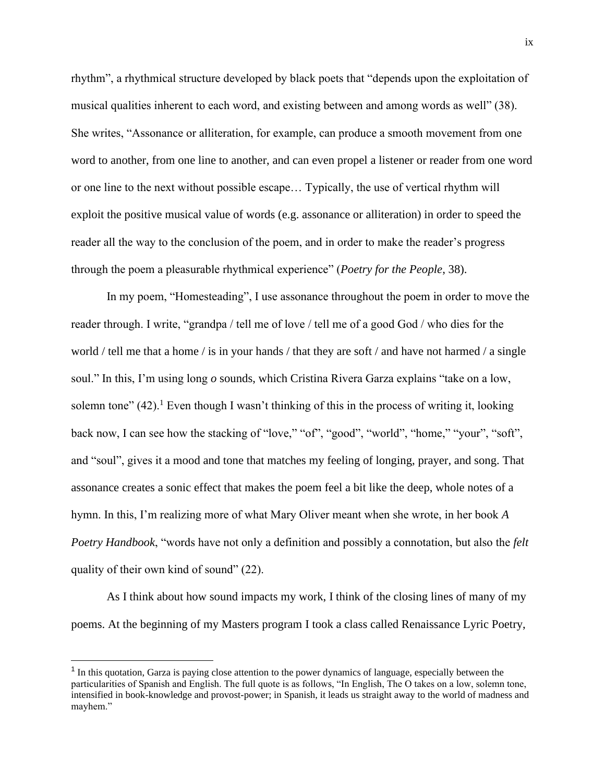rhythm", a rhythmical structure developed by black poets that "depends upon the exploitation of musical qualities inherent to each word, and existing between and among words as well" (38). She writes, "Assonance or alliteration, for example, can produce a smooth movement from one word to another, from one line to another, and can even propel a listener or reader from one word or one line to the next without possible escape… Typically, the use of vertical rhythm will exploit the positive musical value of words (e.g. assonance or alliteration) in order to speed the reader all the way to the conclusion of the poem, and in order to make the reader's progress through the poem a pleasurable rhythmical experience" (*Poetry for the People*, 38).

In my poem, "Homesteading", I use assonance throughout the poem in order to move the reader through. I write, "grandpa / tell me of love / tell me of a good God / who dies for the world / tell me that a home / is in your hands / that they are soft / and have not harmed / a single soul." In this, I'm using long *o* sounds, which Cristina Rivera Garza explains "take on a low, solemn tone"  $(42)$ .<sup>1</sup> Even though I wasn't thinking of this in the process of writing it, looking back now, I can see how the stacking of "love," "of", "good", "world", "home," "your", "soft", and "soul", gives it a mood and tone that matches my feeling of longing, prayer, and song. That assonance creates a sonic effect that makes the poem feel a bit like the deep, whole notes of a hymn. In this, I'm realizing more of what Mary Oliver meant when she wrote, in her book *A Poetry Handbook*, "words have not only a definition and possibly a connotation, but also the *felt* quality of their own kind of sound" (22).

As I think about how sound impacts my work, I think of the closing lines of many of my poems. At the beginning of my Masters program I took a class called Renaissance Lyric Poetry,

<sup>&</sup>lt;sup>1</sup> In this quotation, Garza is paying close attention to the power dynamics of language, especially between the particularities of Spanish and English. The full quote is as follows, "In English, The O takes on a low, solemn tone, intensified in book-knowledge and provost-power; in Spanish, it leads us straight away to the world of madness and mayhem."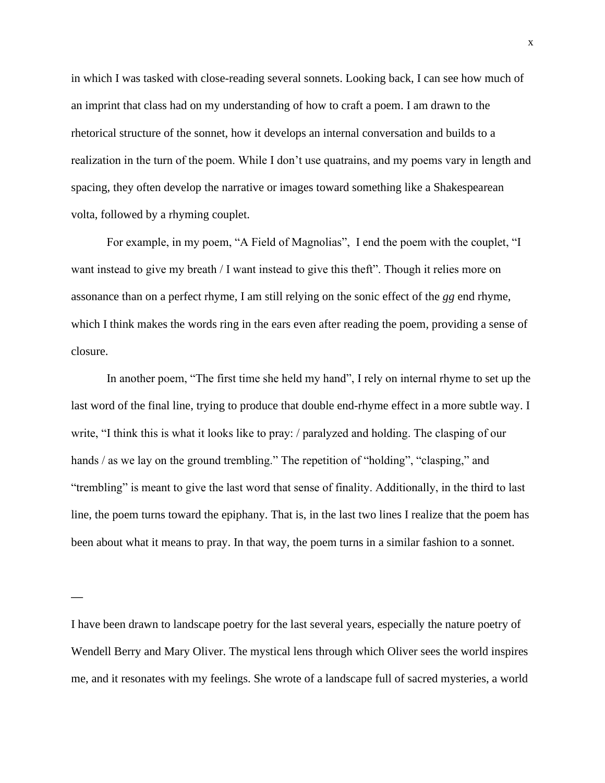in which I was tasked with close-reading several sonnets. Looking back, I can see how much of an imprint that class had on my understanding of how to craft a poem. I am drawn to the rhetorical structure of the sonnet, how it develops an internal conversation and builds to a realization in the turn of the poem. While I don't use quatrains, and my poems vary in length and spacing, they often develop the narrative or images toward something like a Shakespearean volta, followed by a rhyming couplet.

For example, in my poem, "A Field of Magnolias", I end the poem with the couplet, "I want instead to give my breath / I want instead to give this theft". Though it relies more on assonance than on a perfect rhyme, I am still relying on the sonic effect of the *gg* end rhyme, which I think makes the words ring in the ears even after reading the poem, providing a sense of closure.

In another poem, "The first time she held my hand", I rely on internal rhyme to set up the last word of the final line, trying to produce that double end-rhyme effect in a more subtle way. I write, "I think this is what it looks like to pray: / paralyzed and holding. The clasping of our hands / as we lay on the ground trembling." The repetition of "holding", "clasping," and "trembling" is meant to give the last word that sense of finality. Additionally, in the third to last line, the poem turns toward the epiphany. That is, in the last two lines I realize that the poem has been about what it means to pray. In that way, the poem turns in a similar fashion to a sonnet.

**—**

I have been drawn to landscape poetry for the last several years, especially the nature poetry of Wendell Berry and Mary Oliver. The mystical lens through which Oliver sees the world inspires me, and it resonates with my feelings. She wrote of a landscape full of sacred mysteries, a world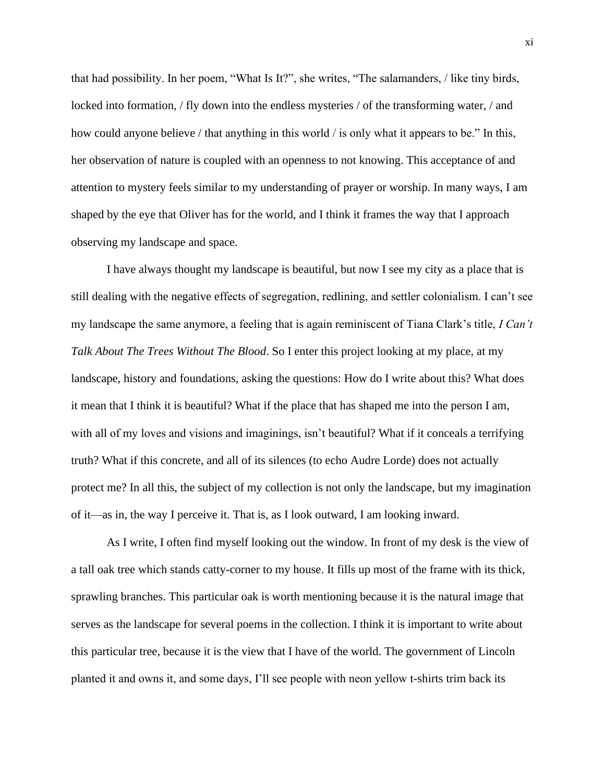that had possibility. In her poem, "What Is It?", she writes, "The salamanders, / like tiny birds, locked into formation, / fly down into the endless mysteries / of the transforming water, / and how could anyone believe / that anything in this world / is only what it appears to be." In this, her observation of nature is coupled with an openness to not knowing. This acceptance of and attention to mystery feels similar to my understanding of prayer or worship. In many ways, I am shaped by the eye that Oliver has for the world, and I think it frames the way that I approach observing my landscape and space.

I have always thought my landscape is beautiful, but now I see my city as a place that is still dealing with the negative effects of segregation, redlining, and settler colonialism. I can't see my landscape the same anymore, a feeling that is again reminiscent of Tiana Clark's title, *I Can't Talk About The Trees Without The Blood*. So I enter this project looking at my place, at my landscape, history and foundations, asking the questions: How do I write about this? What does it mean that I think it is beautiful? What if the place that has shaped me into the person I am, with all of my loves and visions and imaginings, isn't beautiful? What if it conceals a terrifying truth? What if this concrete, and all of its silences (to echo Audre Lorde) does not actually protect me? In all this, the subject of my collection is not only the landscape, but my imagination of it—as in, the way I perceive it. That is, as I look outward, I am looking inward.

As I write, I often find myself looking out the window. In front of my desk is the view of a tall oak tree which stands catty-corner to my house. It fills up most of the frame with its thick, sprawling branches. This particular oak is worth mentioning because it is the natural image that serves as the landscape for several poems in the collection. I think it is important to write about this particular tree, because it is the view that I have of the world. The government of Lincoln planted it and owns it, and some days, I'll see people with neon yellow t-shirts trim back its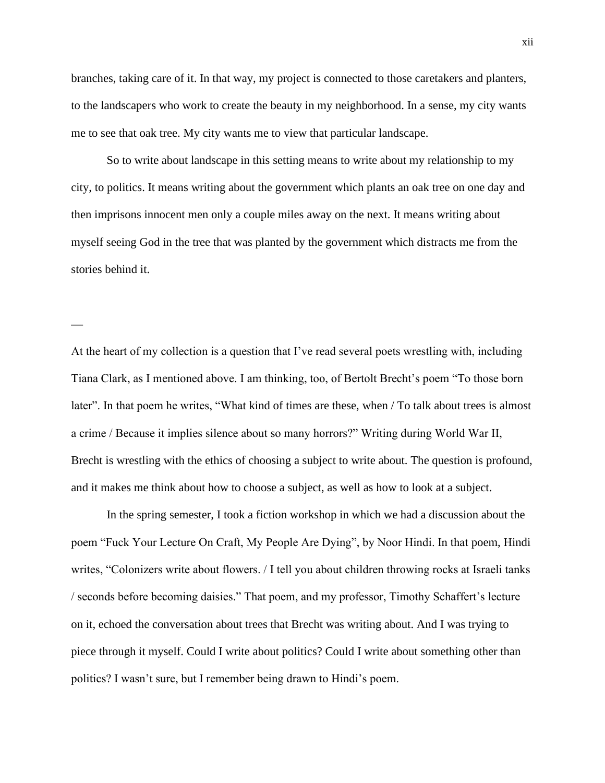branches, taking care of it. In that way, my project is connected to those caretakers and planters, to the landscapers who work to create the beauty in my neighborhood. In a sense, my city wants me to see that oak tree. My city wants me to view that particular landscape.

So to write about landscape in this setting means to write about my relationship to my city, to politics. It means writing about the government which plants an oak tree on one day and then imprisons innocent men only a couple miles away on the next. It means writing about myself seeing God in the tree that was planted by the government which distracts me from the stories behind it.

**—**

At the heart of my collection is a question that I've read several poets wrestling with, including Tiana Clark, as I mentioned above. I am thinking, too, of Bertolt Brecht's poem "To those born later". In that poem he writes, "What kind of times are these, when / To talk about trees is almost a crime / Because it implies silence about so many horrors?" Writing during World War II, Brecht is wrestling with the ethics of choosing a subject to write about. The question is profound, and it makes me think about how to choose a subject, as well as how to look at a subject.

In the spring semester, I took a fiction workshop in which we had a discussion about the poem "Fuck Your Lecture On Craft, My People Are Dying", by Noor Hindi. In that poem, Hindi writes, "Colonizers write about flowers. / I tell you about children throwing rocks at Israeli tanks / seconds before becoming daisies." That poem, and my professor, Timothy Schaffert's lecture on it, echoed the conversation about trees that Brecht was writing about. And I was trying to piece through it myself. Could I write about politics? Could I write about something other than politics? I wasn't sure, but I remember being drawn to Hindi's poem.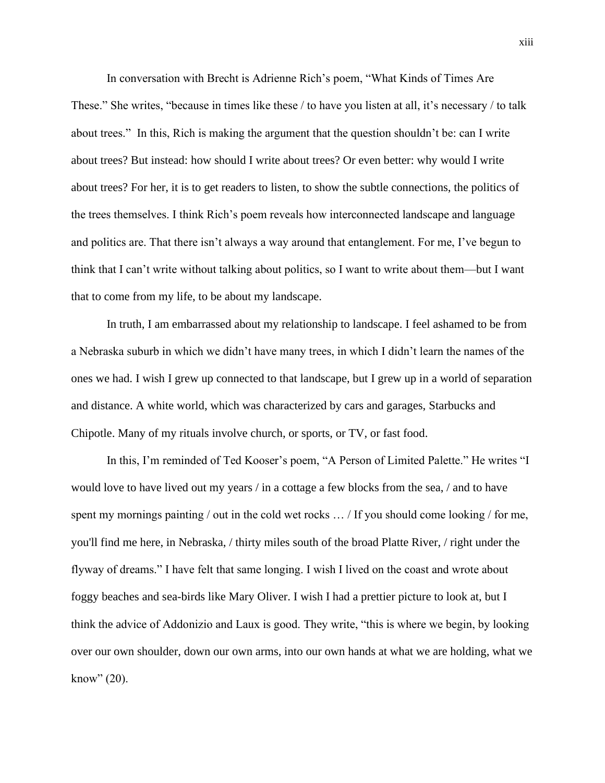In conversation with Brecht is Adrienne Rich's poem, "What Kinds of Times Are These." She writes, "because in times like these / to have you listen at all, it's necessary / to talk about trees." In this, Rich is making the argument that the question shouldn't be: can I write about trees? But instead: how should I write about trees? Or even better: why would I write about trees? For her, it is to get readers to listen, to show the subtle connections, the politics of the trees themselves. I think Rich's poem reveals how interconnected landscape and language and politics are. That there isn't always a way around that entanglement. For me, I've begun to think that I can't write without talking about politics, so I want to write about them—but I want that to come from my life, to be about my landscape.

In truth, I am embarrassed about my relationship to landscape. I feel ashamed to be from a Nebraska suburb in which we didn't have many trees, in which I didn't learn the names of the ones we had. I wish I grew up connected to that landscape, but I grew up in a world of separation and distance. A white world, which was characterized by cars and garages, Starbucks and Chipotle. Many of my rituals involve church, or sports, or TV, or fast food.

In this, I'm reminded of Ted Kooser's poem, "A Person of Limited Palette." He writes "I would love to have lived out my years / in a cottage a few blocks from the sea, / and to have spent my mornings painting / out in the cold wet rocks ... / If you should come looking / for me, you'll find me here, in Nebraska, / thirty miles south of the broad Platte River, / right under the flyway of dreams." I have felt that same longing. I wish I lived on the coast and wrote about foggy beaches and sea-birds like Mary Oliver. I wish I had a prettier picture to look at, but I think the advice of Addonizio and Laux is good. They write, "this is where we begin, by looking over our own shoulder, down our own arms, into our own hands at what we are holding, what we know" (20).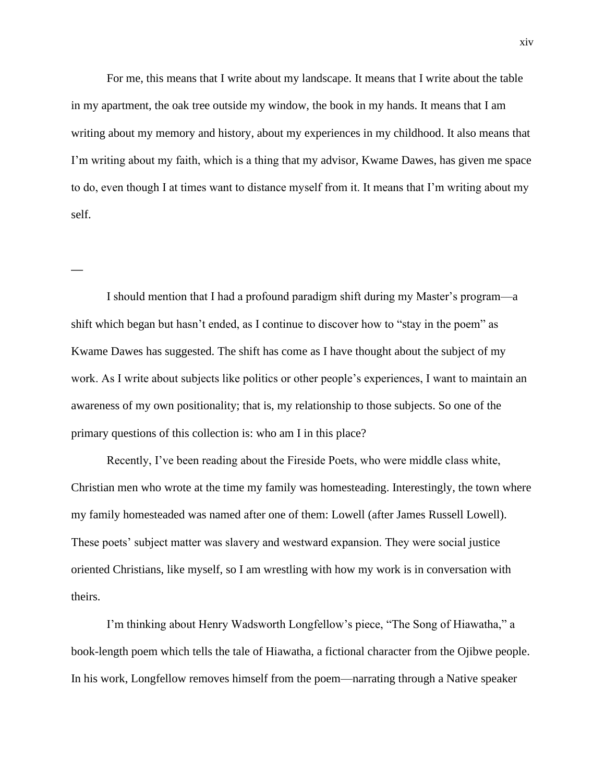For me, this means that I write about my landscape. It means that I write about the table in my apartment, the oak tree outside my window, the book in my hands. It means that I am writing about my memory and history, about my experiences in my childhood. It also means that I'm writing about my faith, which is a thing that my advisor, Kwame Dawes, has given me space to do, even though I at times want to distance myself from it. It means that I'm writing about my self.

I should mention that I had a profound paradigm shift during my Master's program—a shift which began but hasn't ended, as I continue to discover how to "stay in the poem" as Kwame Dawes has suggested. The shift has come as I have thought about the subject of my work. As I write about subjects like politics or other people's experiences, I want to maintain an awareness of my own positionality; that is, my relationship to those subjects. So one of the primary questions of this collection is: who am I in this place?

**—**

Recently, I've been reading about the Fireside Poets, who were middle class white, Christian men who wrote at the time my family was homesteading. Interestingly, the town where my family homesteaded was named after one of them: Lowell (after James Russell Lowell). These poets' subject matter was slavery and westward expansion. They were social justice oriented Christians, like myself, so I am wrestling with how my work is in conversation with theirs.

I'm thinking about Henry Wadsworth Longfellow's piece, "The Song of Hiawatha," a book-length poem which tells the tale of Hiawatha, a fictional character from the Ojibwe people. In his work, Longfellow removes himself from the poem—narrating through a Native speaker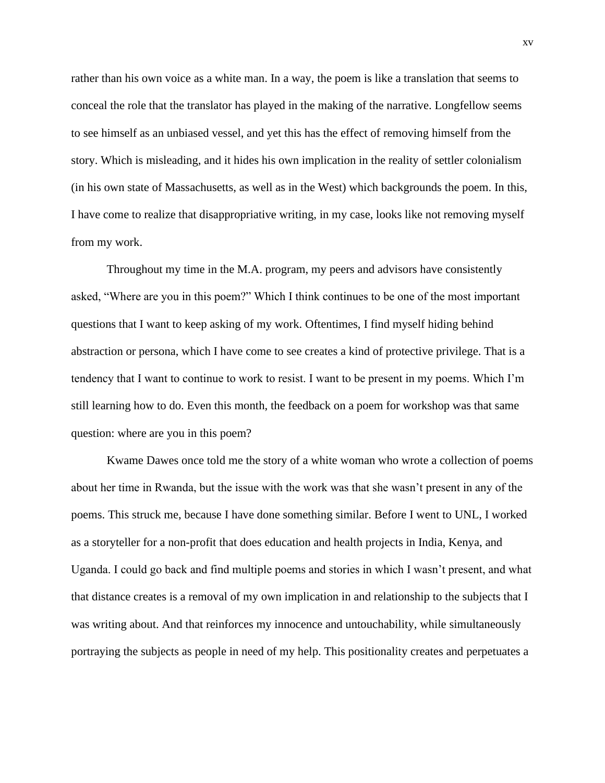rather than his own voice as a white man. In a way, the poem is like a translation that seems to conceal the role that the translator has played in the making of the narrative. Longfellow seems to see himself as an unbiased vessel, and yet this has the effect of removing himself from the story. Which is misleading, and it hides his own implication in the reality of settler colonialism (in his own state of Massachusetts, as well as in the West) which backgrounds the poem. In this, I have come to realize that disappropriative writing, in my case, looks like not removing myself from my work.

Throughout my time in the M.A. program, my peers and advisors have consistently asked, "Where are you in this poem?" Which I think continues to be one of the most important questions that I want to keep asking of my work. Oftentimes, I find myself hiding behind abstraction or persona, which I have come to see creates a kind of protective privilege. That is a tendency that I want to continue to work to resist. I want to be present in my poems. Which I'm still learning how to do. Even this month, the feedback on a poem for workshop was that same question: where are you in this poem?

Kwame Dawes once told me the story of a white woman who wrote a collection of poems about her time in Rwanda, but the issue with the work was that she wasn't present in any of the poems. This struck me, because I have done something similar. Before I went to UNL, I worked as a storyteller for a non-profit that does education and health projects in India, Kenya, and Uganda. I could go back and find multiple poems and stories in which I wasn't present, and what that distance creates is a removal of my own implication in and relationship to the subjects that I was writing about. And that reinforces my innocence and untouchability, while simultaneously portraying the subjects as people in need of my help. This positionality creates and perpetuates a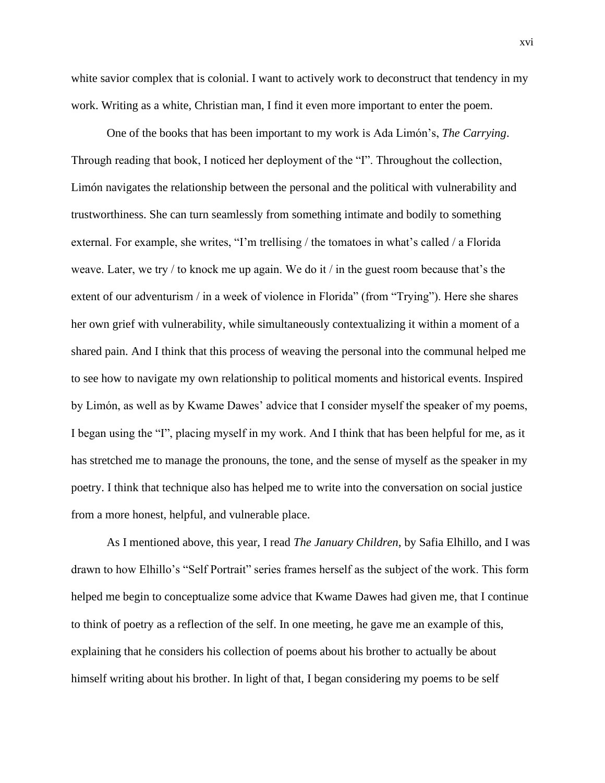white savior complex that is colonial. I want to actively work to deconstruct that tendency in my work. Writing as a white, Christian man, I find it even more important to enter the poem.

One of the books that has been important to my work is Ada Limón's, *The Carrying*. Through reading that book, I noticed her deployment of the "I". Throughout the collection, Limón navigates the relationship between the personal and the political with vulnerability and trustworthiness. She can turn seamlessly from something intimate and bodily to something external. For example, she writes, "I'm trellising / the tomatoes in what's called / a Florida weave. Later, we try / to knock me up again. We do it / in the guest room because that's the extent of our adventurism / in a week of violence in Florida" (from "Trying"). Here she shares her own grief with vulnerability, while simultaneously contextualizing it within a moment of a shared pain. And I think that this process of weaving the personal into the communal helped me to see how to navigate my own relationship to political moments and historical events. Inspired by Limón, as well as by Kwame Dawes' advice that I consider myself the speaker of my poems, I began using the "I", placing myself in my work. And I think that has been helpful for me, as it has stretched me to manage the pronouns, the tone, and the sense of myself as the speaker in my poetry. I think that technique also has helped me to write into the conversation on social justice from a more honest, helpful, and vulnerable place.

As I mentioned above, this year, I read *The January Children*, by Safia Elhillo, and I was drawn to how Elhillo's "Self Portrait" series frames herself as the subject of the work. This form helped me begin to conceptualize some advice that Kwame Dawes had given me, that I continue to think of poetry as a reflection of the self. In one meeting, he gave me an example of this, explaining that he considers his collection of poems about his brother to actually be about himself writing about his brother. In light of that, I began considering my poems to be self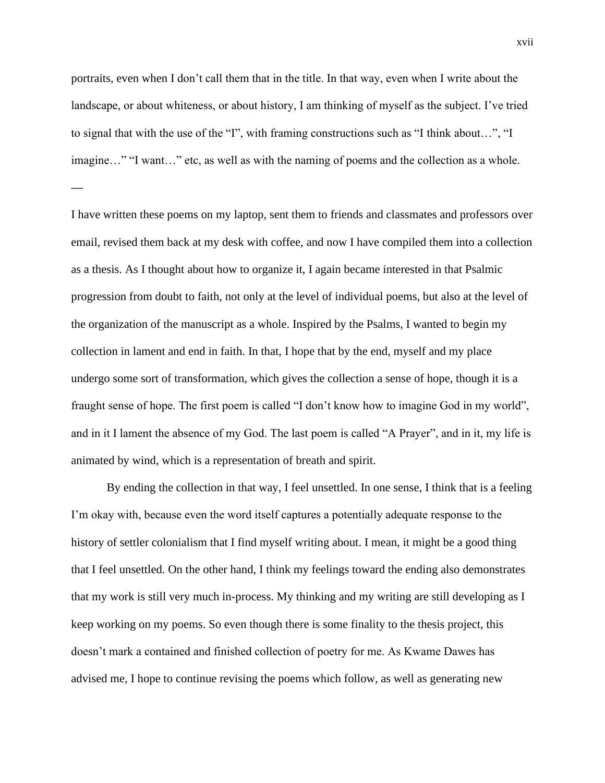portraits, even when I don't call them that in the title. In that way, even when I write about the landscape, or about whiteness, or about history, I am thinking of myself as the subject. I've tried to signal that with the use of the "I", with framing constructions such as "I think about…", "I imagine..." "I want..." etc, as well as with the naming of poems and the collection as a whole.

**—**

I have written these poems on my laptop, sent them to friends and classmates and professors over email, revised them back at my desk with coffee, and now I have compiled them into a collection as a thesis. As I thought about how to organize it, I again became interested in that Psalmic progression from doubt to faith, not only at the level of individual poems, but also at the level of the organization of the manuscript as a whole. Inspired by the Psalms, I wanted to begin my collection in lament and end in faith. In that, I hope that by the end, myself and my place undergo some sort of transformation, which gives the collection a sense of hope, though it is a fraught sense of hope. The first poem is called "I don't know how to imagine God in my world", and in it I lament the absence of my God. The last poem is called "A Prayer", and in it, my life is animated by wind, which is a representation of breath and spirit.

By ending the collection in that way, I feel unsettled. In one sense, I think that is a feeling I'm okay with, because even the word itself captures a potentially adequate response to the history of settler colonialism that I find myself writing about. I mean, it might be a good thing that I feel unsettled. On the other hand, I think my feelings toward the ending also demonstrates that my work is still very much in-process. My thinking and my writing are still developing as I keep working on my poems. So even though there is some finality to the thesis project, this doesn't mark a contained and finished collection of poetry for me. As Kwame Dawes has advised me, I hope to continue revising the poems which follow, as well as generating new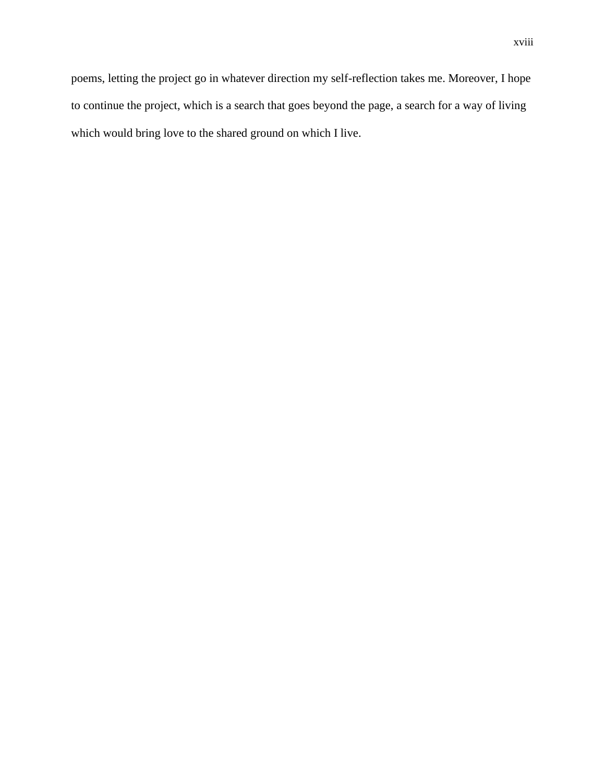poems, letting the project go in whatever direction my self-reflection takes me. Moreover, I hope to continue the project, which is a search that goes beyond the page, a search for a way of living which would bring love to the shared ground on which I live.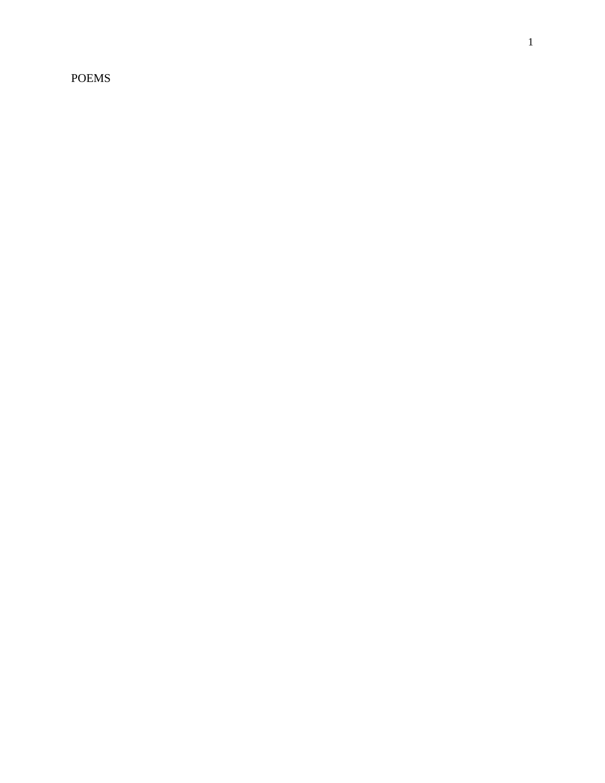POEMS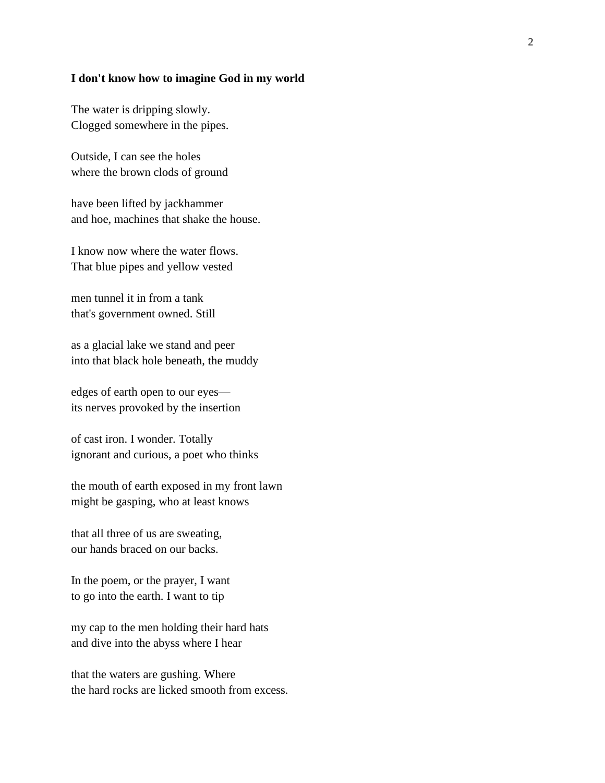### **I don't know how to imagine God in my world**

The water is dripping slowly. Clogged somewhere in the pipes.

Outside, I can see the holes where the brown clods of ground

have been lifted by jackhammer and hoe, machines that shake the house.

I know now where the water flows. That blue pipes and yellow vested

men tunnel it in from a tank that's government owned. Still

as a glacial lake we stand and peer into that black hole beneath, the muddy

edges of earth open to our eyes its nerves provoked by the insertion

of cast iron. I wonder. Totally ignorant and curious, a poet who thinks

the mouth of earth exposed in my front lawn might be gasping, who at least knows

that all three of us are sweating, our hands braced on our backs.

In the poem, or the prayer, I want to go into the earth. I want to tip

my cap to the men holding their hard hats and dive into the abyss where I hear

that the waters are gushing. Where the hard rocks are licked smooth from excess.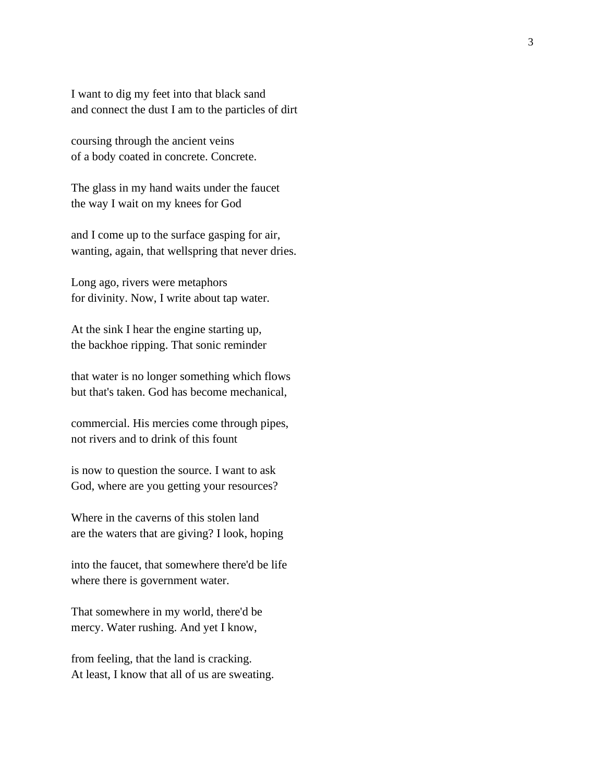I want to dig my feet into that black sand and connect the dust I am to the particles of dirt

coursing through the ancient veins of a body coated in concrete. Concrete.

The glass in my hand waits under the faucet the way I wait on my knees for God

and I come up to the surface gasping for air, wanting, again, that wellspring that never dries.

Long ago, rivers were metaphors for divinity. Now, I write about tap water.

At the sink I hear the engine starting up, the backhoe ripping. That sonic reminder

that water is no longer something which flows but that's taken. God has become mechanical,

commercial. His mercies come through pipes, not rivers and to drink of this fount

is now to question the source. I want to ask God, where are you getting your resources?

Where in the caverns of this stolen land are the waters that are giving? I look, hoping

into the faucet, that somewhere there'd be life where there is government water.

That somewhere in my world, there'd be mercy. Water rushing. And yet I know,

from feeling, that the land is cracking. At least, I know that all of us are sweating.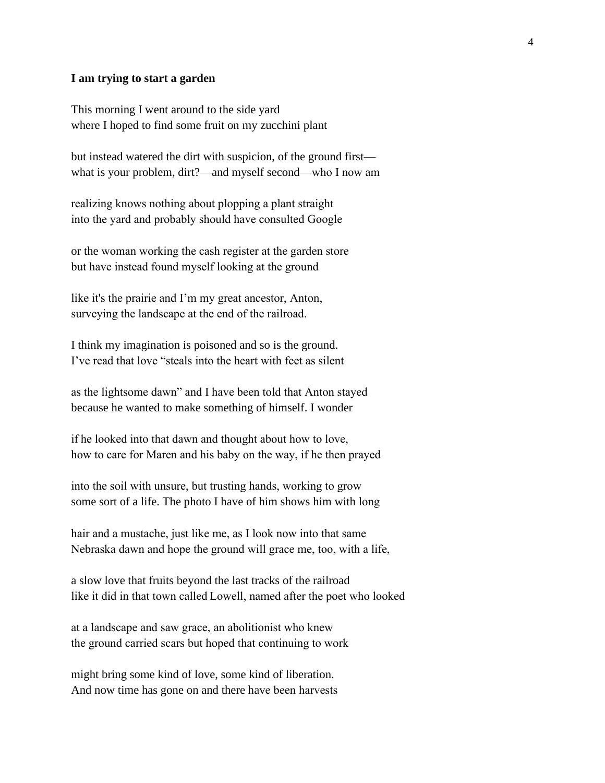#### **I am trying to start a garden**

This morning I went around to the side yard where I hoped to find some fruit on my zucchini plant

but instead watered the dirt with suspicion, of the ground first what is your problem, dirt?—and myself second—who I now am 

realizing knows nothing about plopping a plant straight  into the yard and probably should have consulted Google 

or the woman working the cash register at the garden store  but have instead found myself looking at the ground 

like it's the prairie and I'm my great ancestor, Anton,  surveying the landscape at the end of the railroad. 

I think my imagination is poisoned and so is the ground. I've read that love "steals into the heart with feet as silent 

as the lightsome dawn" and I have been told that Anton stayed  because he wanted to make something of himself. I wonder

if he looked into that dawn and thought about how to love, how to care for Maren and his baby on the way, if he then prayed 

into the soil with unsure, but trusting hands, working to grow  some sort of a life. The photo I have of him shows him with long 

hair and a mustache, just like me, as I look now into that same  Nebraska dawn and hope the ground will grace me, too, with a life, 

a slow love that fruits beyond the last tracks of the railroad like it did in that town called Lowell, named after the poet who looked 

at a landscape and saw grace, an abolitionist who knew  the ground carried scars but hoped that continuing to work 

might bring some kind of love, some kind of liberation. And now time has gone on and there have been harvests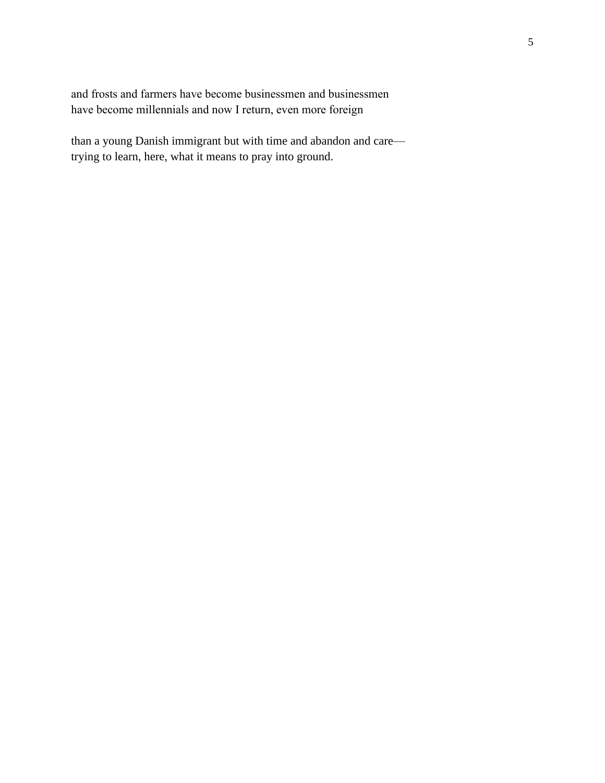and frosts and farmers have become businessmen and businessmen  have become millennials and now I return, even more foreign 

than a young Danish immigrant but with time and abandon and care trying to learn, here, what it means to pray into ground.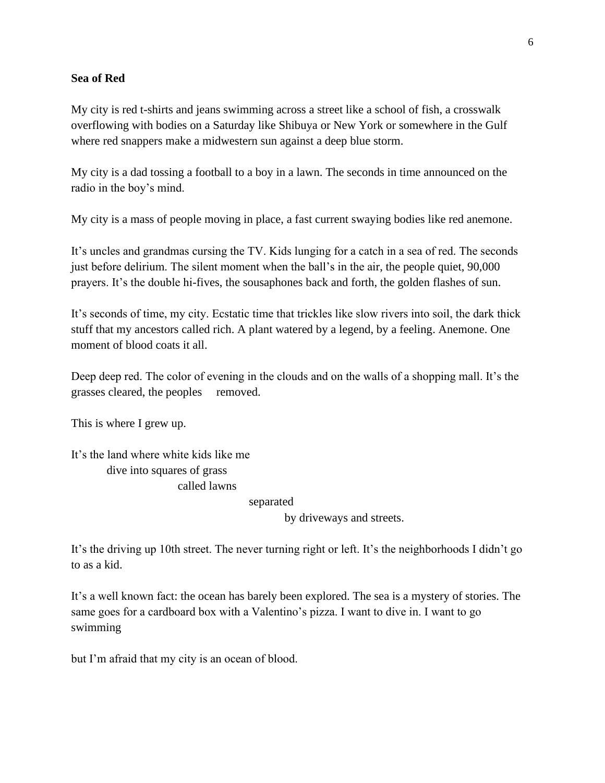### **Sea of Red**

My city is red t-shirts and jeans swimming across a street like a school of fish, a crosswalk overflowing with bodies on a Saturday like Shibuya or New York or somewhere in the Gulf where red snappers make a midwestern sun against a deep blue storm.

My city is a dad tossing a football to a boy in a lawn. The seconds in time announced on the radio in the boy's mind.

My city is a mass of people moving in place, a fast current swaying bodies like red anemone.

It's uncles and grandmas cursing the TV. Kids lunging for a catch in a sea of red. The seconds just before delirium. The silent moment when the ball's in the air, the people quiet, 90,000 prayers. It's the double hi-fives, the sousaphones back and forth, the golden flashes of sun.

It's seconds of time, my city. Ecstatic time that trickles like slow rivers into soil, the dark thick stuff that my ancestors called rich. A plant watered by a legend, by a feeling. Anemone. One moment of blood coats it all.

Deep deep red. The color of evening in the clouds and on the walls of a shopping mall. It's the grasses cleared, the peoples removed.

This is where I grew up.

It's the land where white kids like me dive into squares of grass called lawns

separated

by driveways and streets.

It's the driving up 10th street. The never turning right or left. It's the neighborhoods I didn't go to as a kid.

It's a well known fact: the ocean has barely been explored. The sea is a mystery of stories. The same goes for a cardboard box with a Valentino's pizza. I want to dive in. I want to go swimming

but I'm afraid that my city is an ocean of blood.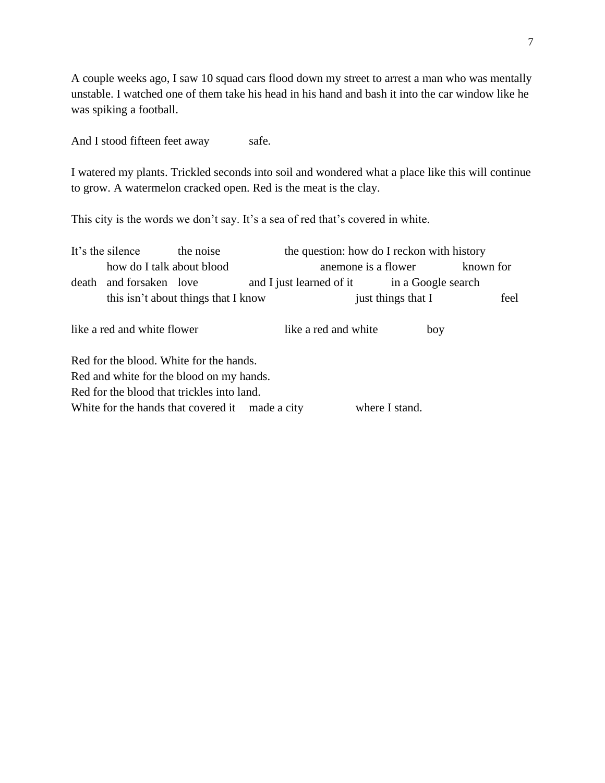A couple weeks ago, I saw 10 squad cars flood down my street to arrest a man who was mentally unstable. I watched one of them take his head in his hand and bash it into the car window like he was spiking a football.

And I stood fifteen feet away safe.

I watered my plants. Trickled seconds into soil and wondered what a place like this will continue to grow. A watermelon cracked open. Red is the meat is the clay.

This city is the words we don't say. It's a sea of red that's covered in white.

|       | It's the silence                                                  | the noise                               |                                             | the question: how do I reckon with history |     |           |  |
|-------|-------------------------------------------------------------------|-----------------------------------------|---------------------------------------------|--------------------------------------------|-----|-----------|--|
|       | how do I talk about blood                                         |                                         |                                             | anemone is a flower                        |     | known for |  |
| death | and forsaken love                                                 |                                         | and I just learned of it in a Google search |                                            |     |           |  |
|       |                                                                   | this isn't about things that I know     |                                             | just things that I                         |     | feel      |  |
|       | like a red and white flower                                       |                                         | like a red and white                        |                                            | boy |           |  |
|       |                                                                   | Red for the blood. White for the hands. |                                             |                                            |     |           |  |
|       | Red and white for the blood on my hands.                          |                                         |                                             |                                            |     |           |  |
|       | Red for the blood that trickles into land.                        |                                         |                                             |                                            |     |           |  |
|       | White for the hands that covered it made a city<br>where I stand. |                                         |                                             |                                            |     |           |  |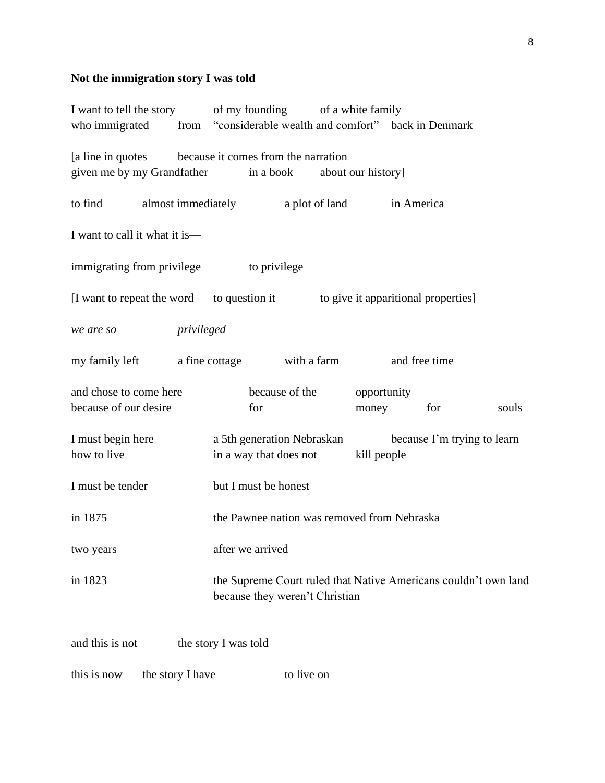# **Not the immigration story I was told**

| I want to tell the story of my founding of a white family                                     |            |                                                                                                   |                |                |                    |               |                             |       |
|-----------------------------------------------------------------------------------------------|------------|---------------------------------------------------------------------------------------------------|----------------|----------------|--------------------|---------------|-----------------------------|-------|
| who immigrated from "considerable wealth and comfort" back in Denmark                         |            |                                                                                                   |                |                |                    |               |                             |       |
| [a line in quotes because it comes from the narration<br>given me by my Grandfather in a book |            |                                                                                                   |                |                | about our history] |               |                             |       |
| to find                                                                                       |            | almost immediately                                                                                |                | a plot of land |                    | in America    |                             |       |
| I want to call it what it is—                                                                 |            |                                                                                                   |                |                |                    |               |                             |       |
| immigrating from privilege to privilege                                                       |            |                                                                                                   |                |                |                    |               |                             |       |
| [I want to repeat the word to question it to give it apparitional properties]                 |            |                                                                                                   |                |                |                    |               |                             |       |
| we are so                                                                                     | privileged |                                                                                                   |                |                |                    |               |                             |       |
| my family left a fine cottage with a farm                                                     |            |                                                                                                   |                |                |                    | and free time |                             |       |
| and chose to come here                                                                        |            |                                                                                                   | because of the |                | opportunity        |               |                             |       |
| because of our desire                                                                         |            | for                                                                                               |                |                | money              |               | for                         | souls |
| I must begin here                                                                             |            | a 5th generation Nebraskan                                                                        |                |                |                    |               | because I'm trying to learn |       |
| how to live                                                                                   |            | in a way that does not                                                                            |                |                | kill people        |               |                             |       |
| I must be tender                                                                              |            | but I must be honest                                                                              |                |                |                    |               |                             |       |
| in 1875                                                                                       |            | the Pawnee nation was removed from Nebraska                                                       |                |                |                    |               |                             |       |
| two years                                                                                     |            | after we arrived                                                                                  |                |                |                    |               |                             |       |
| in 1823                                                                                       |            | the Supreme Court ruled that Native Americans couldn't own land<br>because they weren't Christian |                |                |                    |               |                             |       |
| and this is not                                                                               |            | the story I was told                                                                              |                |                |                    |               |                             |       |

this is now the story I have to live on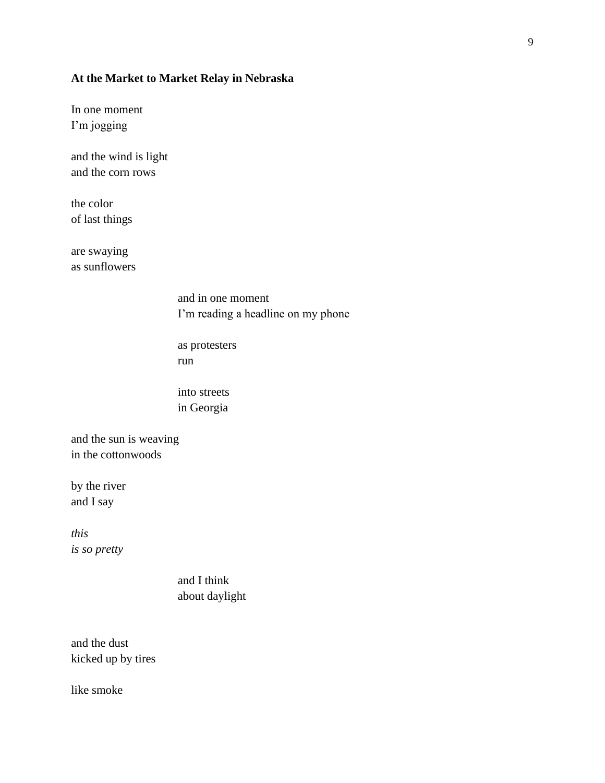## **At the Market to Market Relay in Nebraska**

In one moment I'm jogging

and the wind is light and the corn rows

the color of last things

are swaying as sunflowers

> and in one moment I'm reading a headline on my phone

as protesters run

into streets in Georgia

and the sun is weaving in the cottonwoods

by the river and I say

*this is so pretty*

> and I think about daylight

and the dust kicked up by tires

like smoke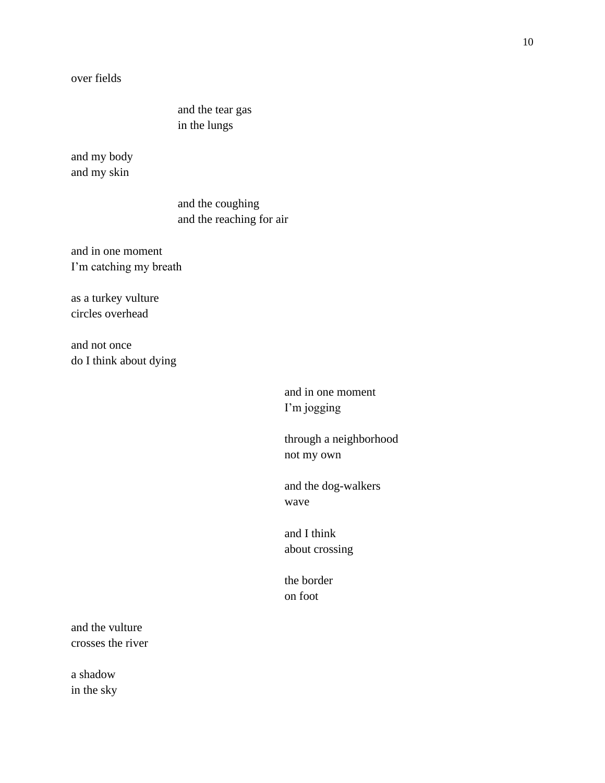over fields

and the tear gas in the lungs

and my body and my skin

> and the coughing and the reaching for air

and in one moment I'm catching my breath

as a turkey vulture circles overhead

and not once do I think about dying

> and in one moment I'm jogging

through a neighborhood not my own

and the dog-walkers wave

and I think about crossing

the border on foot

and the vulture crosses the river

a shadow in the sky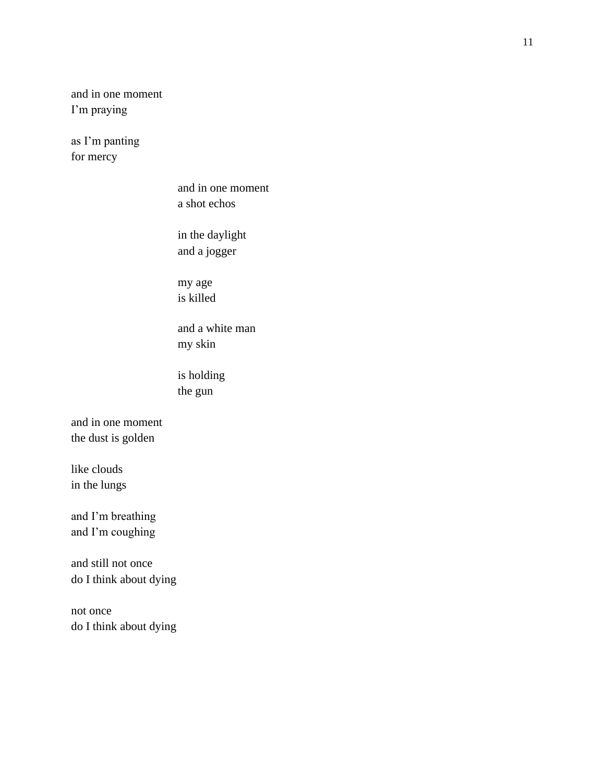and in one moment I'm praying

as I'm panting for mercy

> and in one moment a shot echos

in the daylight and a jogger

my age is killed

and a white man my skin

is holding the gun

and in one moment the dust is golden

like clouds in the lungs

and I'm breathing and I'm coughing

and still not once do I think about dying

not once do I think about dying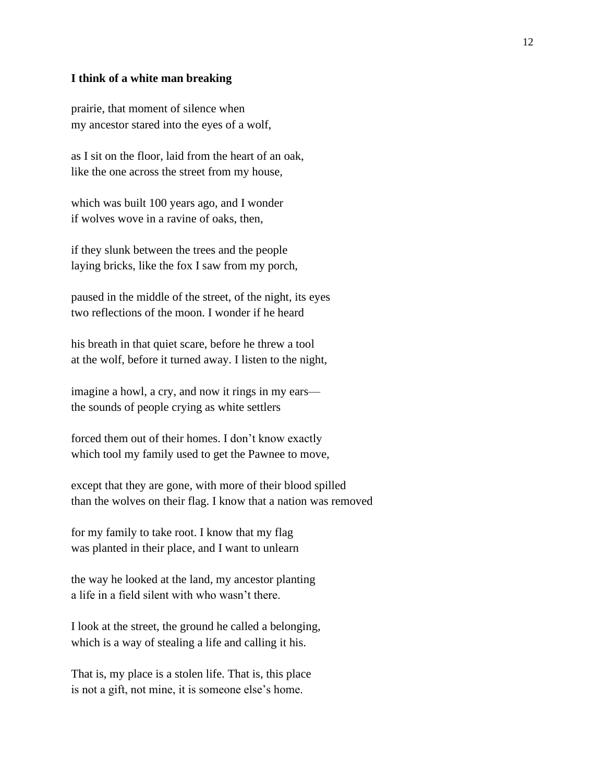#### **I think of a white man breaking**

prairie, that moment of silence when my ancestor stared into the eyes of a wolf,

as I sit on the floor, laid from the heart of an oak, like the one across the street from my house,

which was built 100 years ago, and I wonder if wolves wove in a ravine of oaks, then,

if they slunk between the trees and the people laying bricks, like the fox I saw from my porch,

paused in the middle of the street, of the night, its eyes two reflections of the moon. I wonder if he heard

his breath in that quiet scare, before he threw a tool at the wolf, before it turned away. I listen to the night,

imagine a howl, a cry, and now it rings in my ears the sounds of people crying as white settlers

forced them out of their homes. I don't know exactly which tool my family used to get the Pawnee to move,

except that they are gone, with more of their blood spilled than the wolves on their flag. I know that a nation was removed

for my family to take root. I know that my flag was planted in their place, and I want to unlearn

the way he looked at the land, my ancestor planting a life in a field silent with who wasn't there.

I look at the street, the ground he called a belonging, which is a way of stealing a life and calling it his.

That is, my place is a stolen life. That is, this place is not a gift, not mine, it is someone else's home.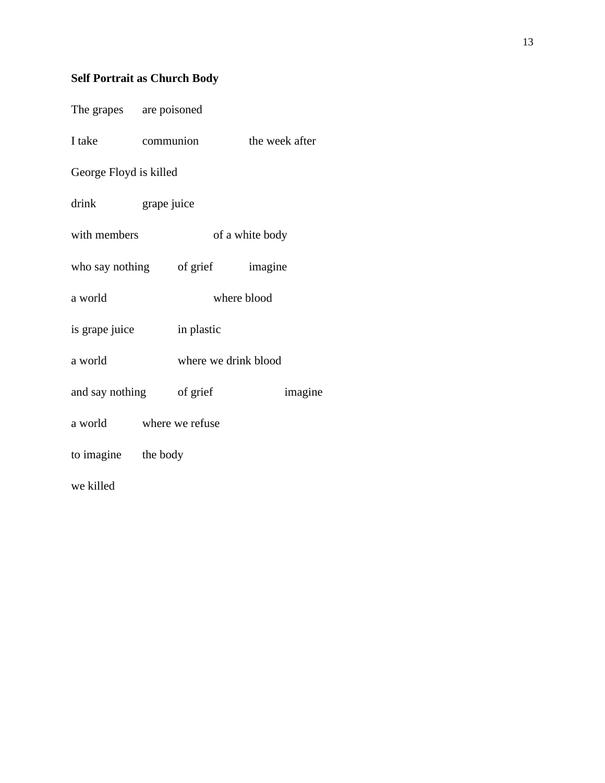# **Self Portrait as Church Body**

| The grapes are poisoned          |            |             |                      |         |
|----------------------------------|------------|-------------|----------------------|---------|
| I take communion the week after  |            |             |                      |         |
| George Floyd is killed           |            |             |                      |         |
| drink grape juice                |            |             |                      |         |
| with members                     |            |             | of a white body      |         |
| who say nothing of grief imagine |            |             |                      |         |
| a world                          |            | where blood |                      |         |
| is grape juice                   | in plastic |             |                      |         |
| a world                          |            |             | where we drink blood |         |
| and say nothing of grief         |            |             |                      | imagine |
| a world where we refuse          |            |             |                      |         |
| to imagine the body              |            |             |                      |         |
| we killed                        |            |             |                      |         |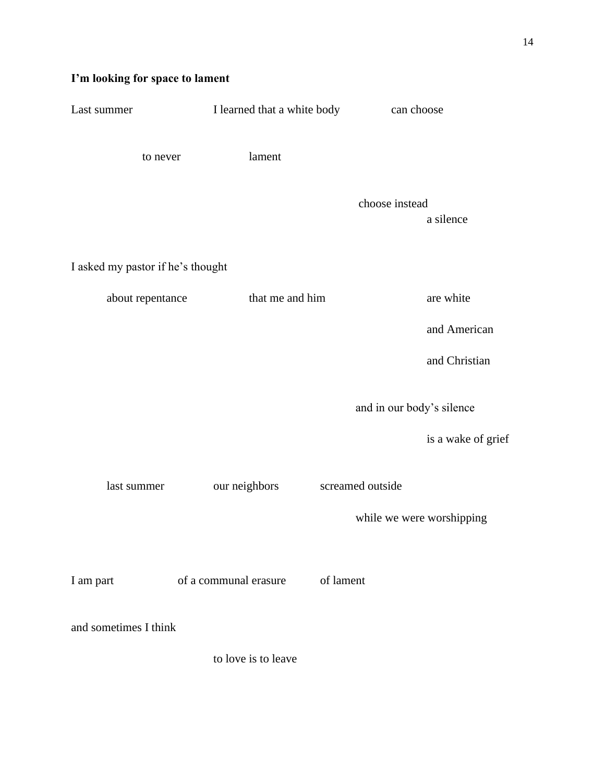# **I'm looking for space to lament**

| Last summer                       | I learned that a white body        | can choose                |
|-----------------------------------|------------------------------------|---------------------------|
| to never                          | lament                             |                           |
|                                   | choose instead                     | a silence                 |
| I asked my pastor if he's thought |                                    |                           |
| about repentance                  | that me and him                    | are white                 |
|                                   |                                    | and American              |
|                                   |                                    | and Christian             |
|                                   |                                    | and in our body's silence |
|                                   |                                    | is a wake of grief        |
| last summer                       | screamed outside<br>our neighbors  |                           |
|                                   |                                    | while we were worshipping |
| I am part                         | of a communal erasure<br>of lament |                           |
| and sometimes I think             |                                    |                           |
|                                   | to love is to leave                |                           |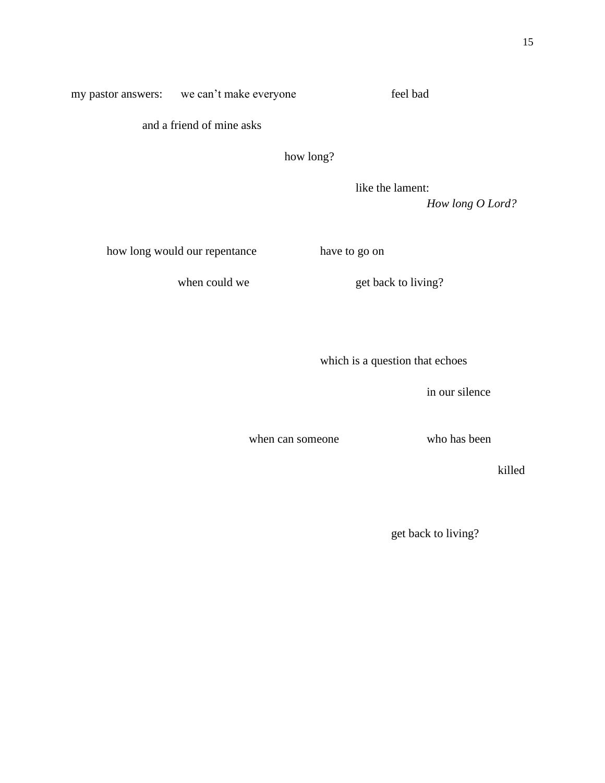my pastor answers: we can't make everyone feel bad

and a friend of mine asks

how long?

like the lament: *How long O Lord?*

how long would our repentance have to go on

when could we get back to living?

which is a question that echoes

in our silence

when can someone who has been

killed

get back to living?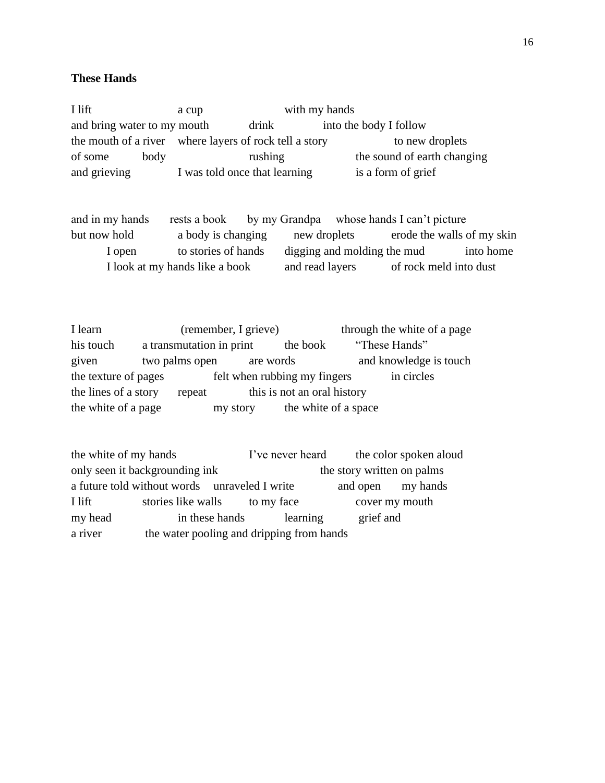## **These Hands**

I lift a cup with my hands and bring water to my mouth drink into the body I follow the mouth of a river where layers of rock tell a story to new droplets of some body rushing the sound of earth changing and grieving I was told once that learning is a form of grief

and in my hands rests a book by my Grandpa whose hands I can't picture but now hold a body is changing new droplets erode the walls of my skin I open to stories of hands digging and molding the mud into home I look at my hands like a book and read layers of rock meld into dust

I learn (remember, I grieve) through the white of a page his touch a transmutation in print the book "These Hands" given two palms open are words and knowledge is touch the texture of pages felt when rubbing my fingers in circles the lines of a story repeat this is not an oral history the white of a page my story the white of a space

the white of my hands I've never heard the color spoken aloud only seen it backgrounding ink the story written on palms a future told without words unraveled I write and open my hands I lift stories like walls to my face cover my mouth my head in these hands learning grief and a river the water pooling and dripping from hands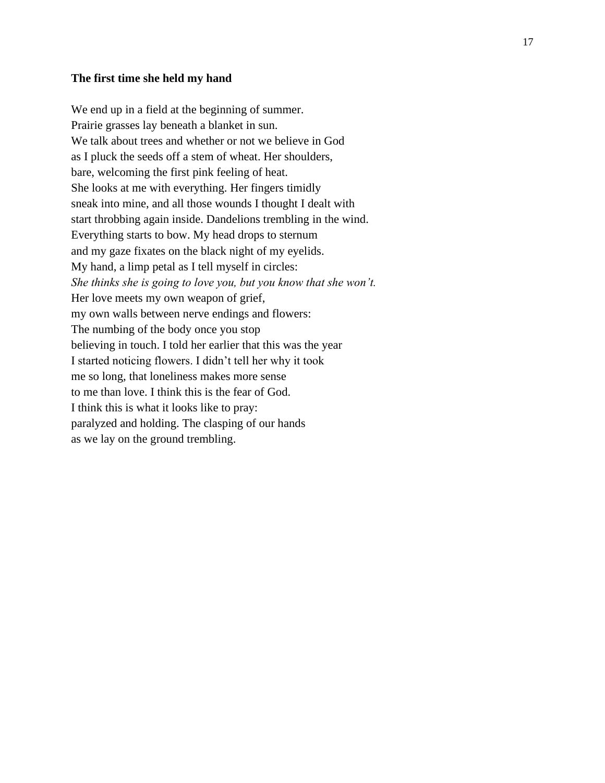### **The first time she held my hand**

We end up in a field at the beginning of summer. Prairie grasses lay beneath a blanket in sun. We talk about trees and whether or not we believe in God as I pluck the seeds off a stem of wheat. Her shoulders, bare, welcoming the first pink feeling of heat. She looks at me with everything. Her fingers timidly sneak into mine, and all those wounds I thought I dealt with start throbbing again inside. Dandelions trembling in the wind. Everything starts to bow. My head drops to sternum and my gaze fixates on the black night of my eyelids. My hand, a limp petal as I tell myself in circles: *She thinks she is going to love you, but you know that she won't.*  Her love meets my own weapon of grief, my own walls between nerve endings and flowers: The numbing of the body once you stop believing in touch. I told her earlier that this was the year I started noticing flowers. I didn't tell her why it took me so long, that loneliness makes more sense to me than love. I think this is the fear of God. I think this is what it looks like to pray: paralyzed and holding. The clasping of our hands as we lay on the ground trembling.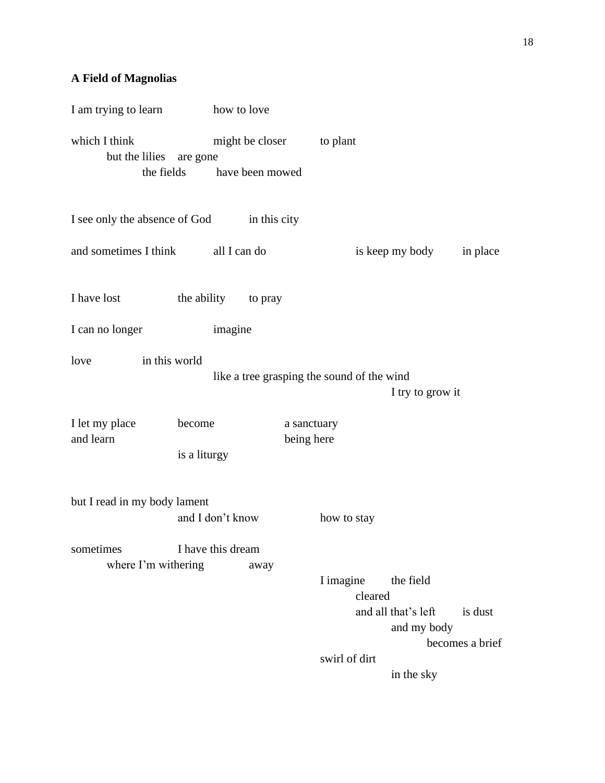# **A Field of Magnolias**

| I am trying to learn how to love         |                            |                                            |                                                                                             |
|------------------------------------------|----------------------------|--------------------------------------------|---------------------------------------------------------------------------------------------|
| which I think<br>but the lilies are gone | the fields have been mowed | might be closer to plant                   |                                                                                             |
| I see only the absence of God            | in this city               |                                            |                                                                                             |
| and sometimes I think                    | all I can do               |                                            | is keep my body<br>in place                                                                 |
| I have lost                              | the ability to pray        |                                            |                                                                                             |
| I can no longer                          | imagine                    |                                            |                                                                                             |
| love<br>in this world                    |                            | like a tree grasping the sound of the wind | I try to grow it                                                                            |
| I let my place<br>and learn              | become<br>is a liturgy     | a sanctuary<br>being here                  |                                                                                             |
| but I read in my body lament             | and I don't know           | how to stay                                |                                                                                             |
| sometimes<br>where I'm withering         | I have this dream<br>away  | I imagine<br>cleared<br>swirl of dirt      | the field<br>and all that's left<br>is dust<br>and my body<br>becomes a brief<br>in the sky |
|                                          |                            |                                            |                                                                                             |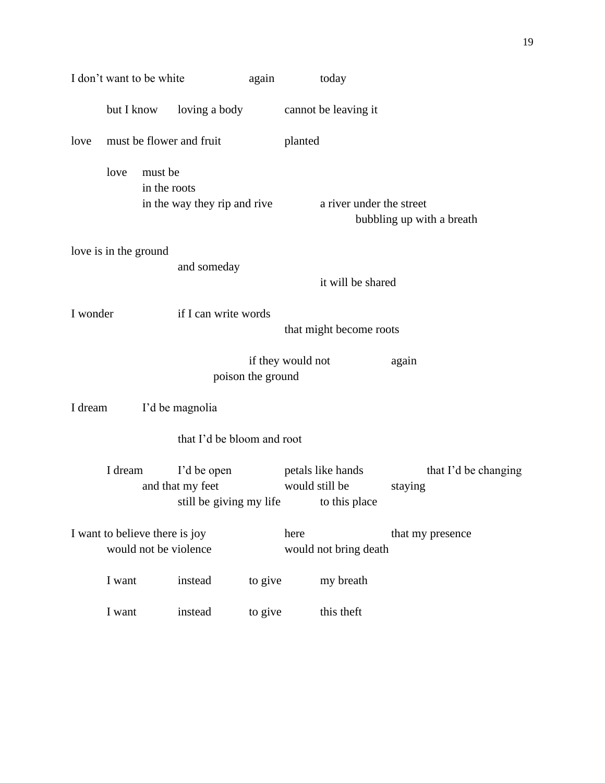|          | I don't want to be white                                |                                                            | again             | today                                                |                                 |
|----------|---------------------------------------------------------|------------------------------------------------------------|-------------------|------------------------------------------------------|---------------------------------|
|          | but I know                                              | loving a body                                              |                   | cannot be leaving it                                 |                                 |
| love     | must be flower and fruit                                |                                                            |                   | planted                                              |                                 |
|          | love<br>must be                                         | in the roots<br>in the way they rip and rive               |                   | a river under the street                             | bubbling up with a breath       |
|          | love is in the ground                                   |                                                            |                   |                                                      |                                 |
|          |                                                         | and someday                                                |                   | it will be shared                                    |                                 |
| I wonder |                                                         | if I can write words                                       |                   | that might become roots                              |                                 |
|          |                                                         |                                                            | poison the ground | if they would not                                    | again                           |
| I dream  |                                                         | I'd be magnolia                                            |                   |                                                      |                                 |
|          |                                                         | that I'd be bloom and root                                 |                   |                                                      |                                 |
|          | I dream                                                 | I'd be open<br>and that my feet<br>still be giving my life |                   | petals like hands<br>would still be<br>to this place | that I'd be changing<br>staying |
|          | I want to believe there is joy<br>would not be violence |                                                            |                   | here<br>would not bring death                        | that my presence                |
|          | I want                                                  | instead                                                    | to give           | my breath                                            |                                 |
|          | I want                                                  | instead                                                    | to give           | this theft                                           |                                 |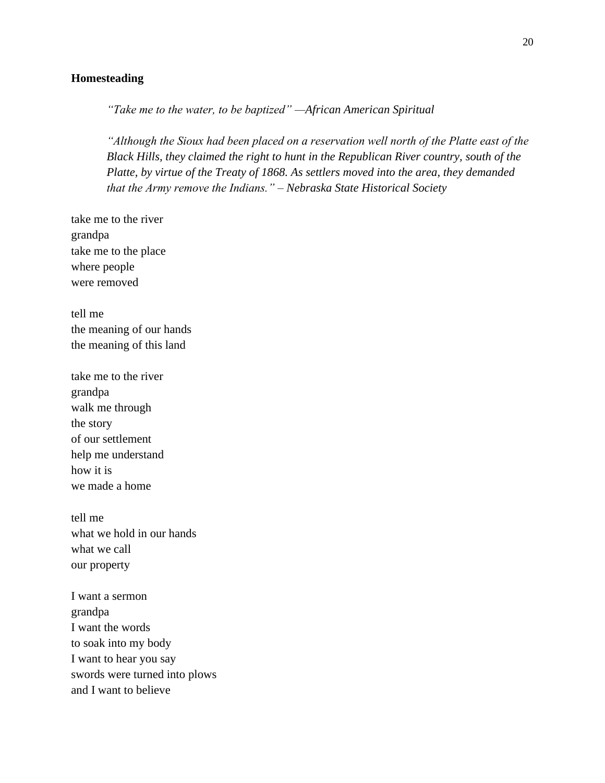## **Homesteading**

*"Take me to the water, to be baptized" —African American Spiritual*

*"Although the Sioux had been placed on a reservation well north of the Platte east of the Black Hills, they claimed the right to hunt in the Republican River country, south of the Platte, by virtue of the Treaty of 1868. As settlers moved into the area, they demanded that the Army remove the Indians." – Nebraska State Historical Society*

take me to the river grandpa take me to the place where people were removed

tell me the meaning of our hands the meaning of this land

take me to the river grandpa walk me through the story of our settlement help me understand how it is we made a home

tell me what we hold in our hands what we call our property

I want a sermon grandpa I want the words to soak into my body I want to hear you say swords were turned into plows and I want to believe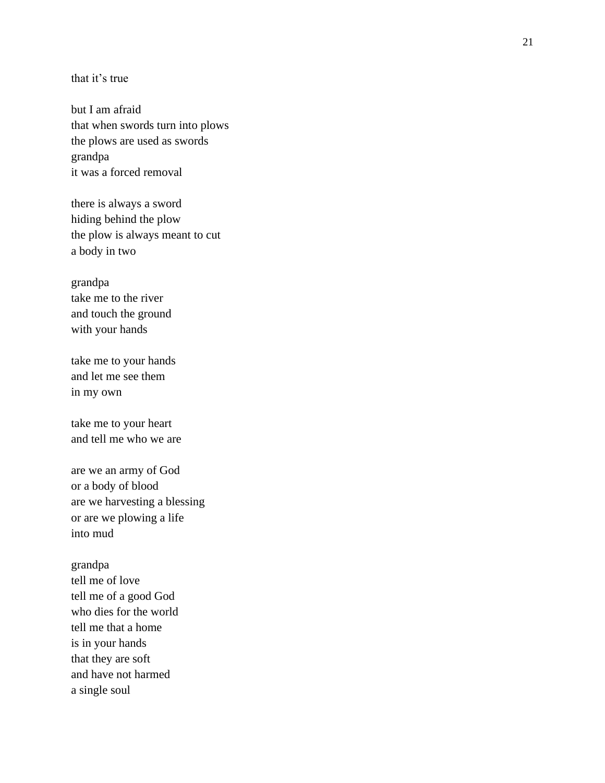that it's true

but I am afraid that when swords turn into plows the plows are used as swords grandpa it was a forced removal

there is always a sword hiding behind the plow the plow is always meant to cut a body in two

grandpa take me to the river and touch the ground with your hands

take me to your hands and let me see them in my own

take me to your heart and tell me who we are

are we an army of God or a body of blood are we harvesting a blessing or are we plowing a life into mud

grandpa tell me of love tell me of a good God who dies for the world tell me that a home is in your hands that they are soft and have not harmed a single soul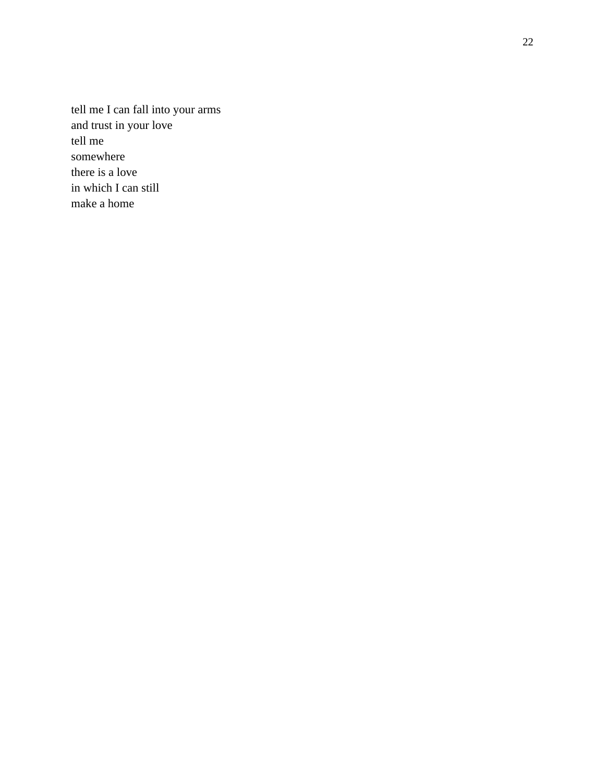tell me I can fall into your arms and trust in your love tell me somewhere there is a love in which I can still make a home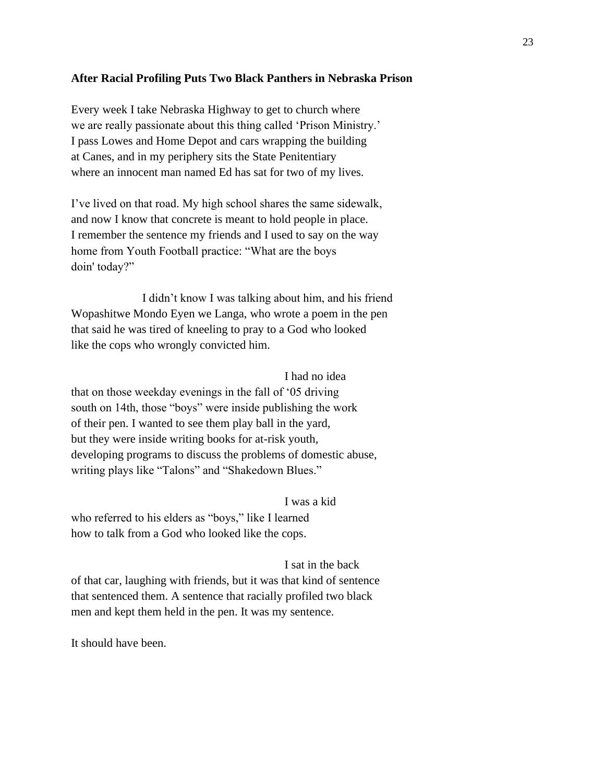### **After Racial Profiling Puts Two Black Panthers in Nebraska Prison**

Every week I take Nebraska Highway to get to church where we are really passionate about this thing called 'Prison Ministry.' I pass Lowes and Home Depot and cars wrapping the building at Canes, and in my periphery sits the State Penitentiary where an innocent man named Ed has sat for two of my lives.

I've lived on that road. My high school shares the same sidewalk, and now I know that concrete is meant to hold people in place. I remember the sentence my friends and I used to say on the way home from Youth Football practice: "What are the boys doin' today?"

I didn't know I was talking about him, and his friend Wopashitwe Mondo Eyen we Langa, who wrote a poem in the pen that said he was tired of kneeling to pray to a God who looked like the cops who wrongly convicted him.

### I had no idea

that on those weekday evenings in the fall of '05 driving south on 14th, those "boys" were inside publishing the work of their pen. I wanted to see them play ball in the yard, but they were inside writing books for at-risk youth, developing programs to discuss the problems of domestic abuse, writing plays like "Talons" and "Shakedown Blues."

#### I was a kid

who referred to his elders as "boys," like I learned how to talk from a God who looked like the cops.

#### I sat in the back

of that car, laughing with friends, but it was that kind of sentence that sentenced them. A sentence that racially profiled two black men and kept them held in the pen. It was my sentence.

It should have been.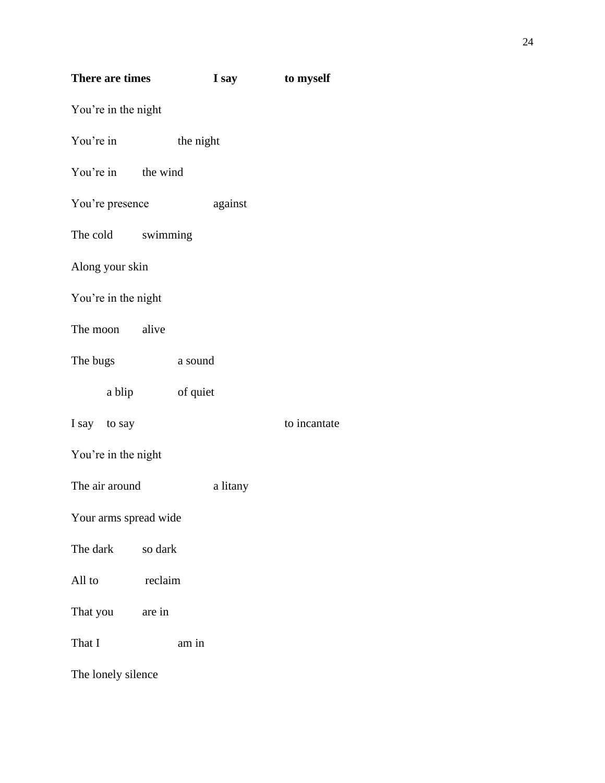| There are times       |         |           | I say    | to myself    |
|-----------------------|---------|-----------|----------|--------------|
| You're in the night   |         |           |          |              |
| You're in             |         | the night |          |              |
| You're in the wind    |         |           |          |              |
| You're presence       |         |           | against  |              |
| The cold swimming     |         |           |          |              |
| Along your skin       |         |           |          |              |
| You're in the night   |         |           |          |              |
| The moon alive        |         |           |          |              |
| The bugs              |         | a sound   |          |              |
| a blip                |         | of quiet  |          |              |
| I say to say          |         |           |          | to incantate |
| You're in the night   |         |           |          |              |
| The air around        |         |           | a litany |              |
| Your arms spread wide |         |           |          |              |
| The dark              | so dark |           |          |              |
| All to                | reclaim |           |          |              |
| That you are in       |         |           |          |              |
| That I                |         | am in     |          |              |

The lonely silence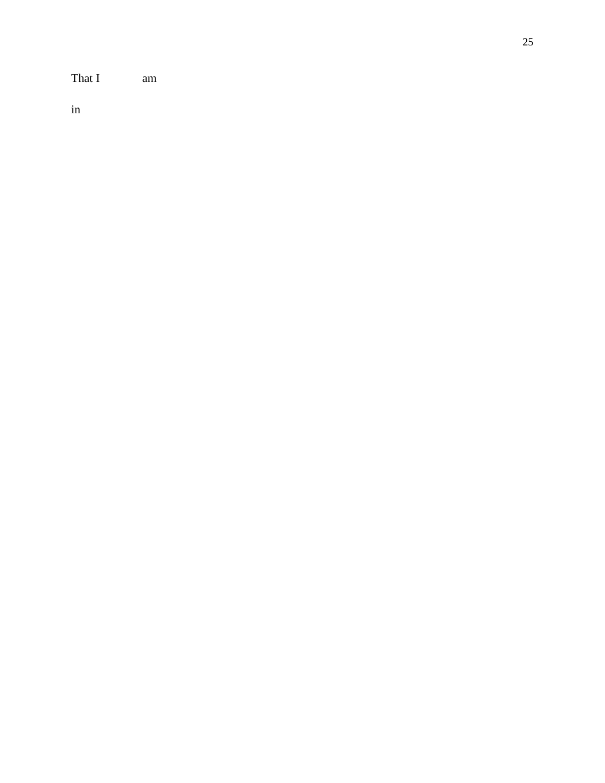That I am

in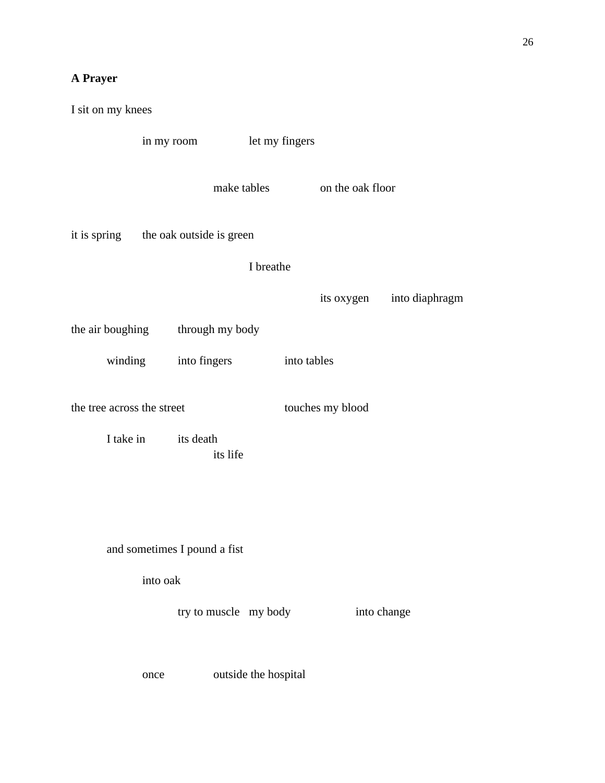# **A Prayer**

| I sit on my knees            |                          |                              |
|------------------------------|--------------------------|------------------------------|
| in my room                   |                          | let my fingers               |
|                              | make tables              | on the oak floor             |
| it is spring                 | the oak outside is green |                              |
|                              | I breathe                |                              |
|                              |                          | its oxygen<br>into diaphragm |
| the air boughing             | through my body          |                              |
| winding                      | into fingers             | into tables                  |
| the tree across the street   |                          | touches my blood             |
| I take in                    | its death<br>its life    |                              |
|                              |                          |                              |
|                              |                          |                              |
| and sometimes I pound a fist |                          |                              |
| into oak                     |                          |                              |
|                              | try to muscle my body    | into change                  |
| once                         | outside the hospital     |                              |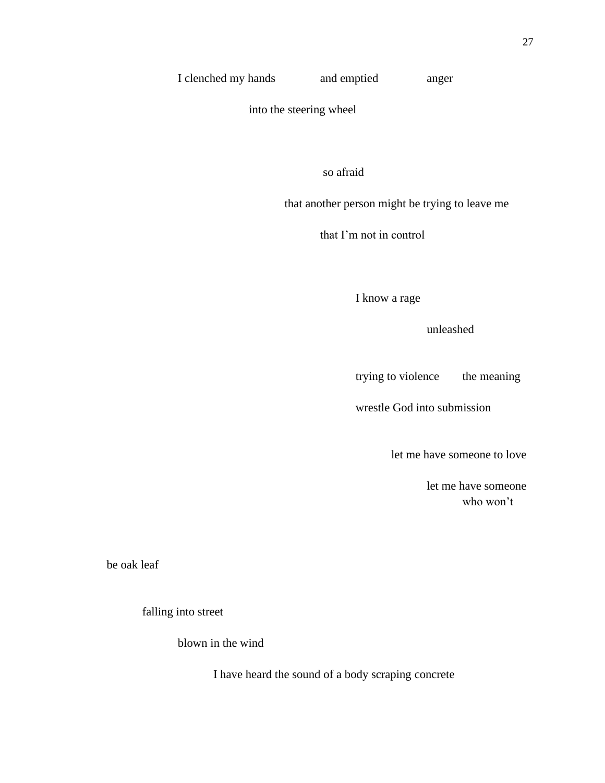## I clenched my hands and emptied anger

into the steering wheel

so afraid

that another person might be trying to leave me

that I'm not in control

I know a rage

unleashed

trying to violence the meaning

wrestle God into submission

let me have someone to love

let me have someone who won't

be oak leaf

falling into street

blown in the wind

I have heard the sound of a body scraping concrete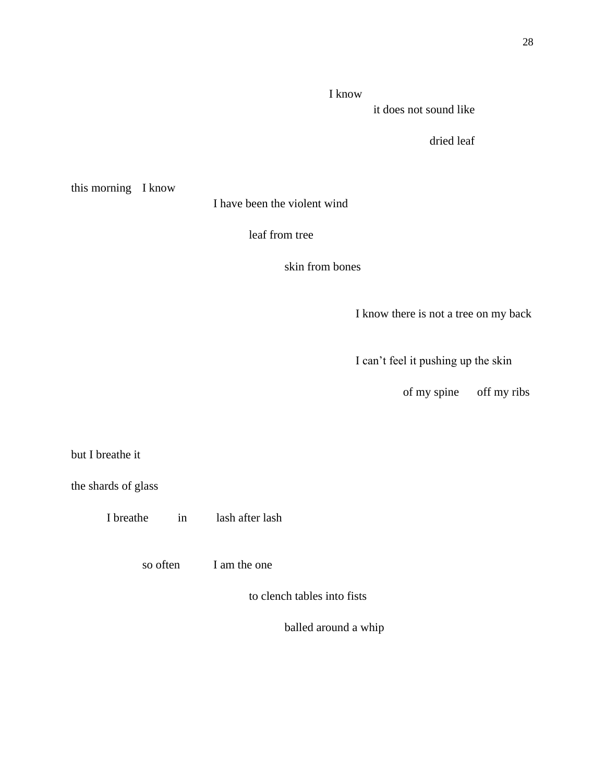## I know

it does not sound like

dried leaf

this morning I know

I have been the violent wind

leaf from tree

skin from bones

I know there is not a tree on my back

I can't feel it pushing up the skin

of my spine off my ribs

but I breathe it

the shards of glass

I breathe in lash after lash

so often I am the one

to clench tables into fists

balled around a whip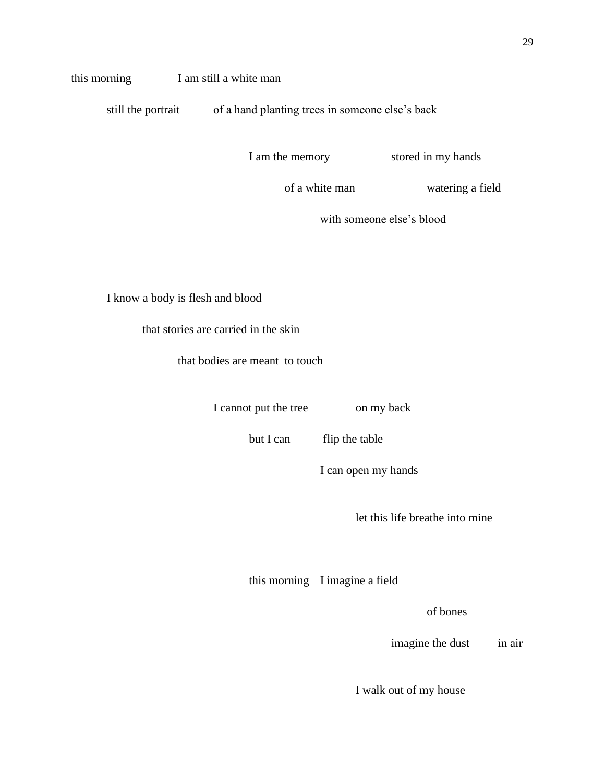## this morning I am still a white man

still the portrait of a hand planting trees in someone else's back

I am the memory stored in my hands

of a white man watering a field

with someone else's blood

I know a body is flesh and blood

that stories are carried in the skin

that bodies are meant to touch

I cannot put the tree on my back

but I can flip the table

I can open my hands

let this life breathe into mine

this morning I imagine a field

of bones

imagine the dust in air

I walk out of my house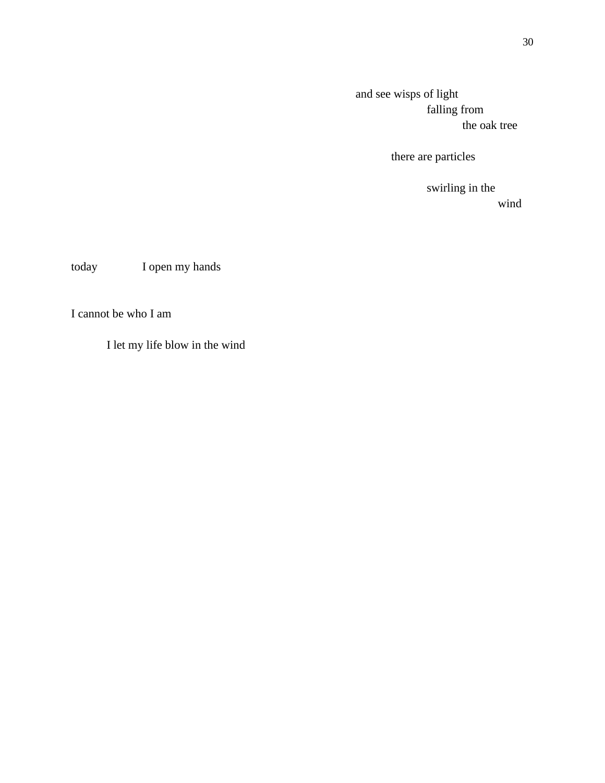and see wisps of light falling from the oak tree

there are particles

swirling in the wind

today I open my hands

I cannot be who I am

I let my life blow in the wind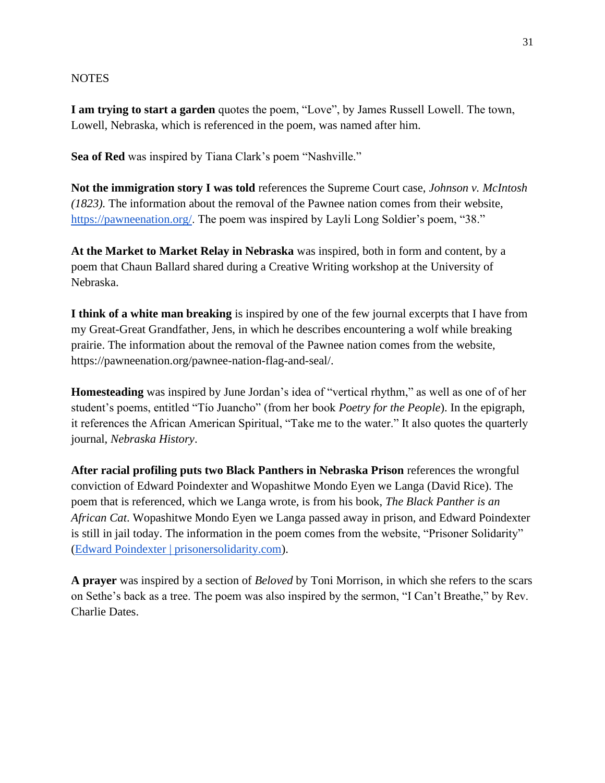## **NOTES**

**I am trying to start a garden** quotes the poem, "Love", by James Russell Lowell. The town, Lowell, Nebraska, which is referenced in the poem, was named after him.

**Sea of Red** was inspired by Tiana Clark's poem "Nashville."

**Not the immigration story I was told** references the Supreme Court case, *Johnson v. McIntosh (1823).* The information about the removal of the Pawnee nation comes from their website, [https://pawneenation.org/.](https://pawneenation.org/) The poem was inspired by Layli Long Soldier's poem, "38."

**At the Market to Market Relay in Nebraska** was inspired, both in form and content, by a poem that Chaun Ballard shared during a Creative Writing workshop at the University of Nebraska.

**I think of a white man breaking** is inspired by one of the few journal excerpts that I have from my Great-Great Grandfather, Jens, in which he describes encountering a wolf while breaking prairie. The information about the removal of the Pawnee nation comes from the website, https://pawneenation.org/pawnee-nation-flag-and-seal/.

**Homesteading** was inspired by June Jordan's idea of "vertical rhythm," as well as one of of her student's poems, entitled "Tío Juancho" (from her book *Poetry for the People*). In the epigraph, it references the African American Spiritual, "Take me to the water." It also quotes the quarterly journal, *Nebraska History*.

**After racial profiling puts two Black Panthers in Nebraska Prison** references the wrongful conviction of Edward Poindexter and Wopashitwe Mondo Eyen we Langa (David Rice). The poem that is referenced, which we Langa wrote, is from his book, *The Black Panther is an African Cat*. Wopashitwe Mondo Eyen we Langa passed away in prison, and Edward Poindexter is still in jail today. The information in the poem comes from the website, "Prisoner Solidarity" [\(Edward Poindexter | prisonersolidarity.com\)](https://prisonersolidarity.com/prisoner/edward-poindexter).

**A prayer** was inspired by a section of *Beloved* by Toni Morrison, in which she refers to the scars on Sethe's back as a tree. The poem was also inspired by the sermon, "I Can't Breathe," by Rev. Charlie Dates.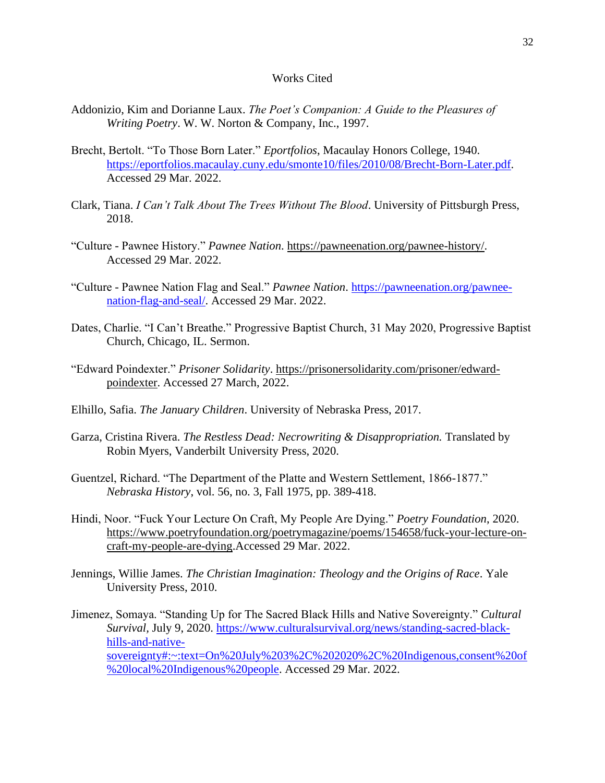#### Works Cited

- Addonizio, Kim and Dorianne Laux. *The Poet's Companion: A Guide to the Pleasures of Writing Poetry*. W. W. Norton & Company, Inc., 1997.
- Brecht, Bertolt. "To Those Born Later." *Eportfolios*, Macaulay Honors College, 1940. [https://eportfolios.macaulay.cuny.edu/smonte10/files/2010/08/Brecht-Born-Later.pdf.](https://eportfolios.macaulay.cuny.edu/smonte10/files/2010/08/Brecht-Born-Later.pdf) Accessed 29 Mar. 2022.
- Clark, Tiana. *I Can't Talk About The Trees Without The Blood*. University of Pittsburgh Press, 2018.
- "Culture Pawnee History." *Pawnee Nation*. [https://pawneenation.org/pawnee-history/.](https://pawneenation.org/pawnee-history/) Accessed 29 Mar. 2022.
- "Culture Pawnee Nation Flag and Seal." *Pawnee Nation*. [https://pawneenation.org/pawnee](https://pawneenation.org/pawnee-nation-flag-and-seal/)[nation-flag-and-seal/.](https://pawneenation.org/pawnee-nation-flag-and-seal/) Accessed 29 Mar. 2022.
- Dates, Charlie. "I Can't Breathe." Progressive Baptist Church, 31 May 2020, Progressive Baptist Church, Chicago, IL. Sermon.
- "Edward Poindexter." *Prisoner Solidarity*. [https://prisonersolidarity.com/prisoner/edward](https://prisonersolidarity.com/prisoner/edward-poindexter)[poindexter.](https://prisonersolidarity.com/prisoner/edward-poindexter) Accessed 27 March, 2022.
- Elhillo, Safia. *The January Children*. University of Nebraska Press, 2017.
- Garza, Cristina Rivera. *The Restless Dead: Necrowriting & Disappropriation.* Translated by Robin Myers, Vanderbilt University Press, 2020.
- Guentzel, Richard. "The Department of the Platte and Western Settlement, 1866-1877." *Nebraska History*, vol. 56, no. 3, Fall 1975, pp. 389-418.
- Hindi, Noor. "Fuck Your Lecture On Craft, My People Are Dying." *Poetry Foundation*, 2020. [https://www.poetryfoundation.org/poetrymagazine/poems/154658/fuck-your-lecture-on](https://www.poetryfoundation.org/poetrymagazine/poems/154658/fuck-your-lecture-on-craft-my-people-are-dying)[craft-my-people-are-dying.](https://www.poetryfoundation.org/poetrymagazine/poems/154658/fuck-your-lecture-on-craft-my-people-are-dying)Accessed 29 Mar. 2022.
- Jennings, Willie James. *The Christian Imagination: Theology and the Origins of Race*. Yale University Press, 2010.
- Jimenez, Somaya. "Standing Up for The Sacred Black Hills and Native Sovereignty." *Cultural Survival,* July 9, 2020. [https://www.culturalsurvival.org/news/standing-sacred-black](https://www.culturalsurvival.org/news/standing-sacred-black-hills-and-native-sovereignty#:~:text=On%20July%203%2C%202020%2C%20Indigenous,consent%20of%20local%20Indigenous%20people)[hills-and-native](https://www.culturalsurvival.org/news/standing-sacred-black-hills-and-native-sovereignty#:~:text=On%20July%203%2C%202020%2C%20Indigenous,consent%20of%20local%20Indigenous%20people)[sovereignty#:~:text=On%20July%203%2C%202020%2C%20Indigenous,consent%20of](https://www.culturalsurvival.org/news/standing-sacred-black-hills-and-native-sovereignty#:~:text=On%20July%203%2C%202020%2C%20Indigenous,consent%20of%20local%20Indigenous%20people) [%20local%20Indigenous%20people.](https://www.culturalsurvival.org/news/standing-sacred-black-hills-and-native-sovereignty#:~:text=On%20July%203%2C%202020%2C%20Indigenous,consent%20of%20local%20Indigenous%20people) Accessed 29 Mar. 2022.